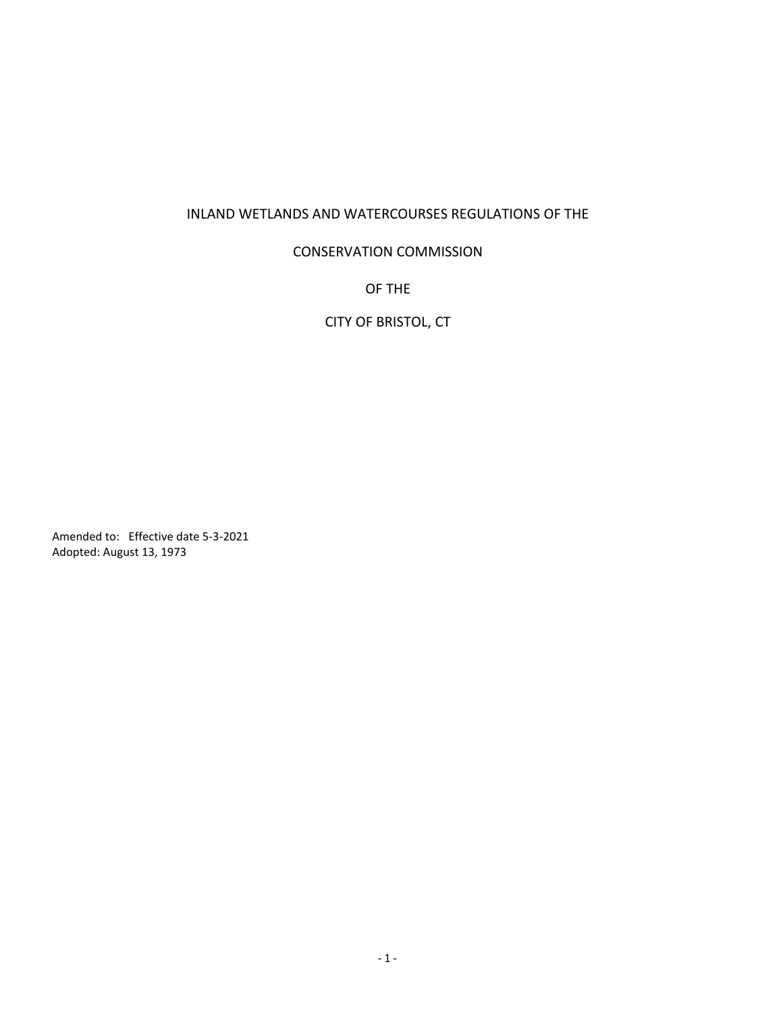## INLAND WETLANDS AND WATERCOURSES REGULATIONS OF THE

## CONSERVATION COMMISSION

OF THE

CITY OF BRISTOL, CT

Amended to: Effective date 5-3-2021<br>Adopted: August 13, 1973 Amended to: Effective da<br>Adopted: August 13, 1973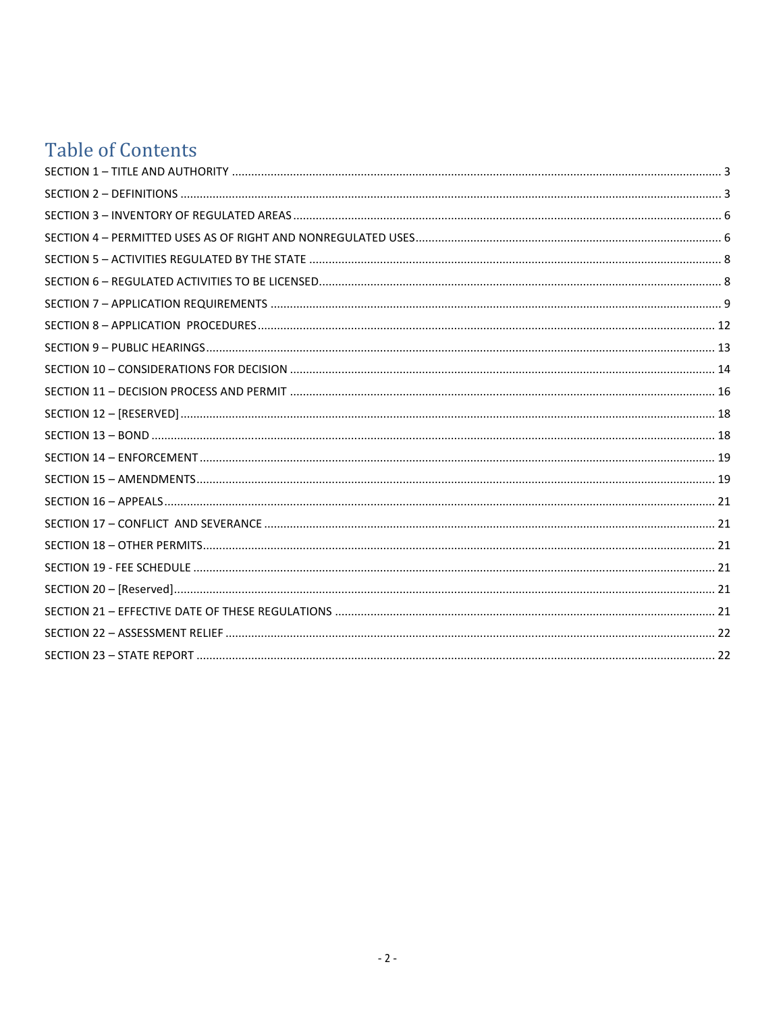# **Table of Contents**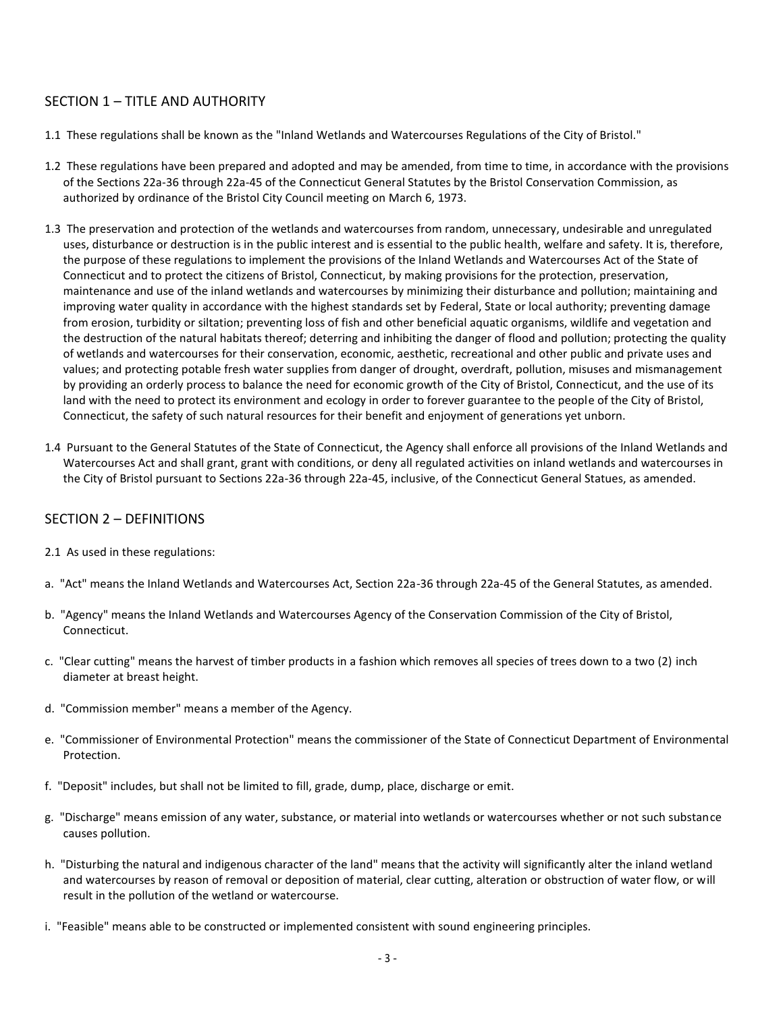## SECTION 1 – TITLE AND AUTHORITY

- 1.1 These regulations shall be known as the "Inland Wetlands and Watercourses Regulations of the City of Bristol."
- 1.2 These regulations have been prepared and adopted and may be amended, from time to time, in accordance with the provisions of the Sections 22a-36 through 22a-45 of the Connecticut General Statutes by the Bristol Conservation Commission, as authorized by ordinance of the Bristol City Council meeting on March 6, 1973.
- 1.3 The preservation and protection of the wetlands and watercourses from random, unnecessary, undesirable and unregulated uses, disturbance or destruction is in the public interest and is essential to the public health, welfare and safety. It is, therefore, the purpose of these regulations to implement the provisions of the Inland Wetlands and Watercourses Act of the State of Connecticut and to protect the citizens of Bristol, Connecticut, by making provisions for the protection, preservation, maintenance and use of the inland wetlands and watercourses by minimizing their disturbance and pollution; maintaining and improving water quality in accordance with the highest standards set by Federal, State or local authority; preventing damage from erosion, turbidity or siltation; preventing loss of fish and other beneficial aquatic organisms, wildlife and vegetation and the destruction of the natural habitats thereof; deterring and inhibiting the danger of flood and pollution; protecting the quality of wetlands and watercourses for their conservation, economic, aesthetic, recreational and other public and private uses and values; and protecting potable fresh water supplies from danger of drought, overdraft, pollution, misuses and mismanagement by providing an orderly process to balance the need for economic growth of the City of Bristol, Connecticut, and the use of its land with the need to protect its environment and ecology in order to forever guarantee to the people of the City of Bristol, Connecticut, the safety of such natural resources for their benefit and enjoyment of generations yet unborn.
- 1.4 Pursuant to the General Statutes of the State of Connecticut, the Agency shall enforce all provisions of the Inland Wetlands and Watercourses Act and shall grant, grant with conditions, or deny all regulated activities on inland wetlands and watercourses in the City of Bristol pursuant to Sections 22a-36 through 22a-45, inclusive, of the Connecticut General Statues, as amended.

## SECTION 2 – DEFINITIONS

- 2.1 As used in these regulations:
- a. "Act" means the Inland Wetlands and Watercourses Act, Section 22a-36 through 22a-45 of the General Statutes, as amended.
- b. "Agency" means the Inland Wetlands and Watercourses Agency of the Conservation Commission of the City of Bristol, Connecticut.
- c. "Clear cutting" means the harvest of timber products in a fashion which removes all species of trees down to a two (2) inch diameter at breast height.
- d. "Commission member" means a member of the Agency.
- e. "Commissioner of Environmental Protection" means the commissioner of the State of Connecticut Department of Environmental Protection.
- f. "Deposit" includes, but shall not be limited to fill, grade, dump, place, discharge or emit.
- g. "Discharge" means emission of any water, substance, or material into wetlands or watercourses whether or not such substance causes pollution.
- h. "Disturbing the natural and indigenous character of the land" means that the activity will significantly alter the inland wetland and watercourses by reason of removal or deposition of material, clear cutting, alteration or obstruction of water flow, or will result in the pollution of the wetland or watercourse.
- i. "Feasible" means able to be constructed or implemented consistent with sound engineering principles.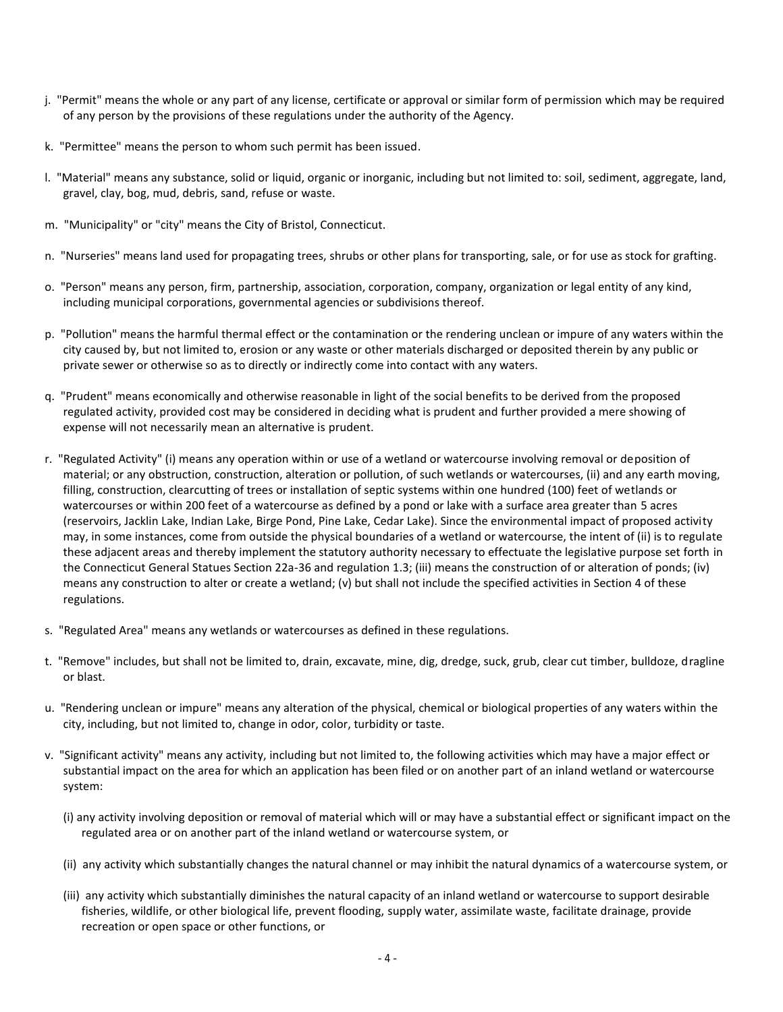- j. "Permit" means the whole or any part of any license, certificate or approval or similar form of permission which may be required of any person by the provisions of these regulations under the authority of the Agency.
- k. "Permittee" means the person to whom such permit has been issued.
- l. "Material" means any substance, solid or liquid, organic or inorganic, including but not limited to: soil, sediment, aggregate, land, gravel, clay, bog, mud, debris, sand, refuse or waste.
- m. "Municipality" or "city" means the City of Bristol, Connecticut.
- n. "Nurseries" means land used for propagating trees, shrubs or other plans for transporting, sale, or for use as stock for grafting.
- o. "Person" means any person, firm, partnership, association, corporation, company, organization or legal entity of any kind, including municipal corporations, governmental agencies or subdivisions thereof.
- p. "Pollution" means the harmful thermal effect or the contamination or the rendering unclean or impure of any waters within the city caused by, but not limited to, erosion or any waste or other materials discharged or deposited therein by any public or private sewer or otherwise so as to directly or indirectly come into contact with any waters.
- q. "Prudent" means economically and otherwise reasonable in light of the social benefits to be derived from the proposed regulated activity, provided cost may be considered in deciding what is prudent and further provided a mere showing of expense will not necessarily mean an alternative is prudent.
- r. "Regulated Activity" (i) means any operation within or use of a wetland or watercourse involving removal or deposition of material; or any obstruction, construction, alteration or pollution, of such wetlands or watercourses, (ii) and any earth moving, filling, construction, clearcutting of trees or installation of septic systems within one hundred (100) feet of wetlands or watercourses or within 200 feet of a watercourse as defined by a pond or lake with a surface area greater than 5 acres (reservoirs, Jacklin Lake, Indian Lake, Birge Pond, Pine Lake, Cedar Lake). Since the environmental impact of proposed activity may, in some instances, come from outside the physical boundaries of a wetland or watercourse, the intent of (ii) is to regulate these adjacent areas and thereby implement the statutory authority necessary to effectuate the legislative purpose set forth in the Connecticut General Statues Section 22a-36 and regulation 1.3; (iii) means the construction of or alteration of ponds; (iv) means any construction to alter or create a wetland; (v) but shall not include the specified activities in Section 4 of these regulations.
- s. "Regulated Area" means any wetlands or watercourses as defined in these regulations.
- t. "Remove" includes, but shall not be limited to, drain, excavate, mine, dig, dredge, suck, grub, clear cut timber, bulldoze, dragline or blast.
- u. "Rendering unclean or impure" means any alteration of the physical, chemical or biological properties of any waters within the city, including, but not limited to, change in odor, color, turbidity or taste.
- v. "Significant activity" means any activity, including but not limited to, the following activities which may have a major effect or substantial impact on the area for which an application has been filed or on another part of an inland wetland or watercourse system:
	- (i) any activity involving deposition or removal of material which will or may have a substantial effect or significant impact on the regulated area or on another part of the inland wetland or watercourse system, or
	- (ii) any activity which substantially changes the natural channel or may inhibit the natural dynamics of a watercourse system, or
	- (iii) any activity which substantially diminishes the natural capacity of an inland wetland or watercourse to support desirable fisheries, wildlife, or other biological life, prevent flooding, supply water, assimilate waste, facilitate drainage, provide recreation or open space or other functions, or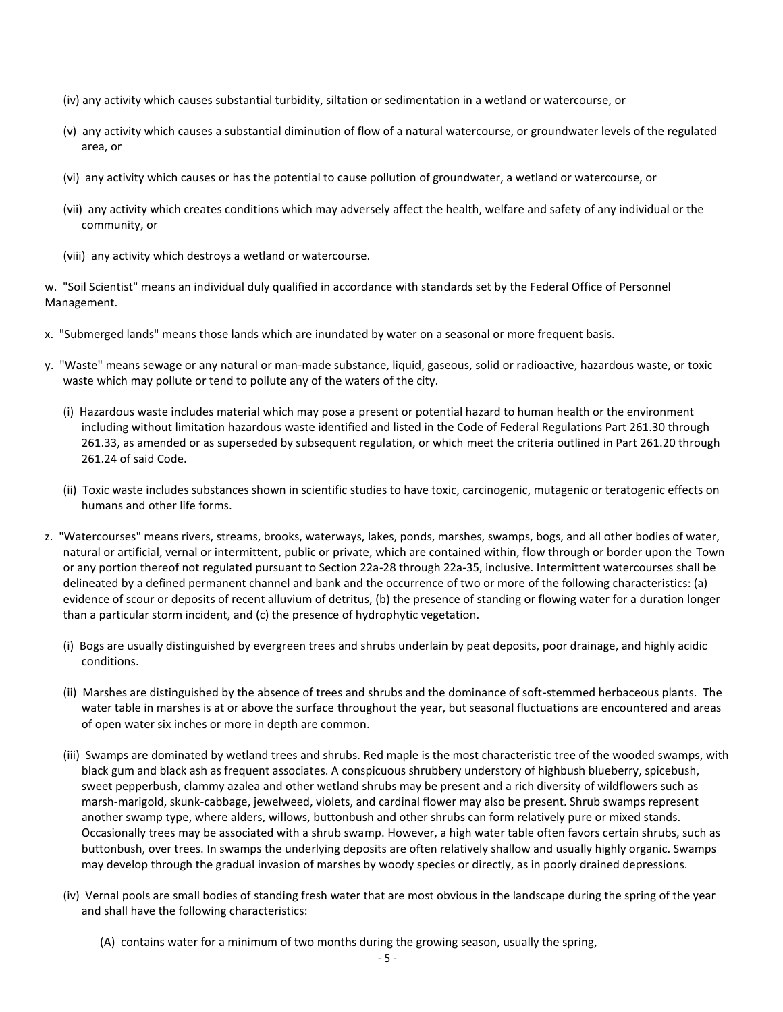- (iv) any activity which causes substantial turbidity, siltation or sedimentation in a wetland or watercourse, or
- (v) any activity which causes a substantial diminution of flow of a natural watercourse, or groundwater levels of the regulated area, or
- (vi) any activity which causes or has the potential to cause pollution of groundwater, a wetland or watercourse, or
- (vii) any activity which creates conditions which may adversely affect the health, welfare and safety of any individual or the community, or
- (viii) any activity which destroys a wetland or watercourse.

w. "Soil Scientist" means an individual duly qualified in accordance with standards set by the Federal Office of Personnel Management.

- x. "Submerged lands" means those lands which are inundated by water on a seasonal or more frequent basis.
- y. "Waste" means sewage or any natural or man-made substance, liquid, gaseous, solid or radioactive, hazardous waste, or toxic waste which may pollute or tend to pollute any of the waters of the city.
	- (i) Hazardous waste includes material which may pose a present or potential hazard to human health or the environment including without limitation hazardous waste identified and listed in the Code of Federal Regulations Part 261.30 through 261.33, as amended or as superseded by subsequent regulation, or which meet the criteria outlined in Part 261.20 through 261.24 of said Code.
	- (ii) Toxic waste includes substances shown in scientific studies to have toxic, carcinogenic, mutagenic or teratogenic effects on humans and other life forms.
- z. "Watercourses" means rivers, streams, brooks, waterways, lakes, ponds, marshes, swamps, bogs, and all other bodies of water, natural or artificial, vernal or intermittent, public or private, which are contained within, flow through or border upon the Town or any portion thereof not regulated pursuant to Section 22a-28 through 22a-35, inclusive. Intermittent watercourses shall be delineated by a defined permanent channel and bank and the occurrence of two or more of the following characteristics: (a) evidence of scour or deposits of recent alluvium of detritus, (b) the presence of standing or flowing water for a duration longer than a particular storm incident, and (c) the presence of hydrophytic vegetation.
	- (i) Bogs are usually distinguished by evergreen trees and shrubs underlain by peat deposits, poor drainage, and highly acidic conditions.
	- (ii) Marshes are distinguished by the absence of trees and shrubs and the dominance of soft-stemmed herbaceous plants. The water table in marshes is at or above the surface throughout the year, but seasonal fluctuations are encountered and areas of open water six inches or more in depth are common.
	- (iii) Swamps are dominated by wetland trees and shrubs. Red maple is the most characteristic tree of the wooded swamps, with black gum and black ash as frequent associates. A conspicuous shrubbery understory of highbush blueberry, spicebush, sweet pepperbush, clammy azalea and other wetland shrubs may be present and a rich diversity of wildflowers such as marsh-marigold, skunk-cabbage, jewelweed, violets, and cardinal flower may also be present. Shrub swamps represent another swamp type, where alders, willows, buttonbush and other shrubs can form relatively pure or mixed stands. Occasionally trees may be associated with a shrub swamp. However, a high water table often favors certain shrubs, such as buttonbush, over trees. In swamps the underlying deposits are often relatively shallow and usually highly organic. Swamps may develop through the gradual invasion of marshes by woody species or directly, as in poorly drained depressions.
	- (iv) Vernal pools are small bodies of standing fresh water that are most obvious in the landscape during the spring of the year and shall have the following characteristics:
		- (A) contains water for a minimum of two months during the growing season, usually the spring,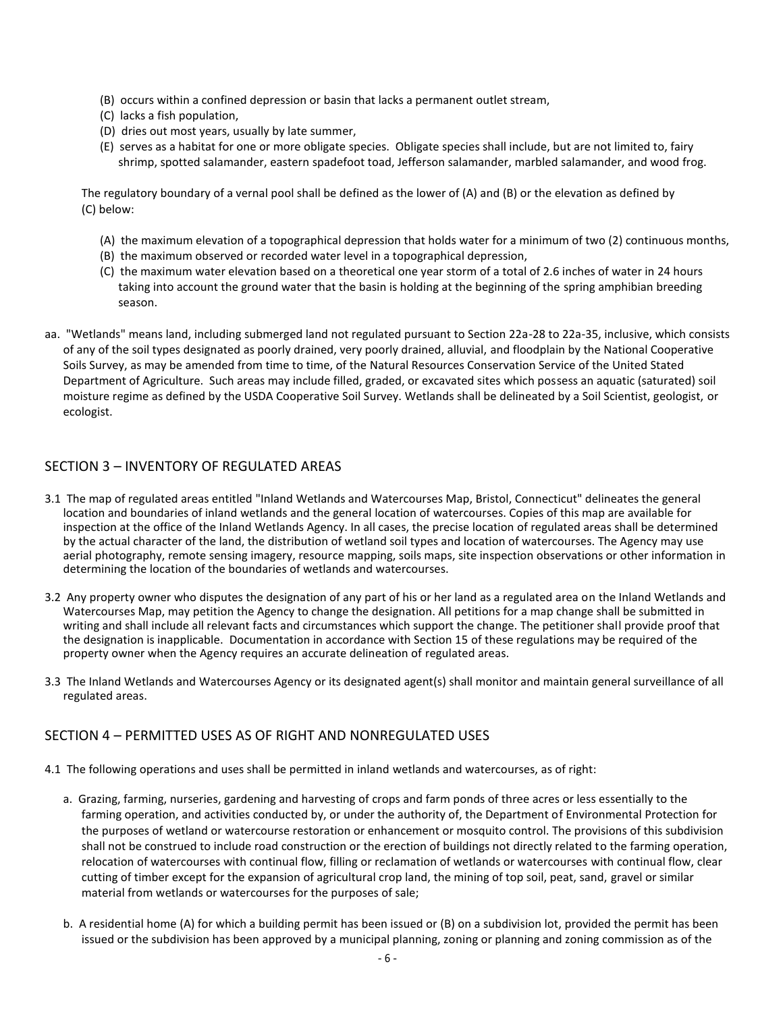- (B) occurs within a confined depression or basin that lacks a permanent outlet stream,
- (C) lacks a fish population,
- (D) dries out most years, usually by late summer,
- (E) serves as a habitat for one or more obligate species. Obligate species shall include, but are not limited to, fairy shrimp, spotted salamander, eastern spadefoot toad, Jefferson salamander, marbled salamander, and wood frog.

The regulatory boundary of a vernal pool shall be defined as the lower of (A) and (B) or the elevation as defined by (C) below:

- (A) the maximum elevation of a topographical depression that holds water for a minimum of two (2) continuous months,
- (B) the maximum observed or recorded water level in a topographical depression,
- (C) the maximum water elevation based on a theoretical one year storm of a total of 2.6 inches of water in 24 hours taking into account the ground water that the basin is holding at the beginning of the spring amphibian breeding season.
- aa. "Wetlands" means land, including submerged land not regulated pursuant to Section 22a-28 to 22a-35, inclusive, which consists of any of the soil types designated as poorly drained, very poorly drained, alluvial, and floodplain by the National Cooperative Soils Survey, as may be amended from time to time, of the Natural Resources Conservation Service of the United Stated Department of Agriculture. Such areas may include filled, graded, or excavated sites which possess an aquatic (saturated) soil moisture regime as defined by the USDA Cooperative Soil Survey. Wetlands shall be delineated by a Soil Scientist, geologist, or ecologist.

## SECTION 3 – INVENTORY OF REGULATED AREAS

- 3.1 The map of regulated areas entitled "Inland Wetlands and Watercourses Map, Bristol, Connecticut" delineates the general location and boundaries of inland wetlands and the general location of watercourses. Copies of this map are available for inspection at the office of the Inland Wetlands Agency. In all cases, the precise location of regulated areas shall be determined by the actual character of the land, the distribution of wetland soil types and location of watercourses. The Agency may use aerial photography, remote sensing imagery, resource mapping, soils maps, site inspection observations or other information in determining the location of the boundaries of wetlands and watercourses.
- 3.2 Any property owner who disputes the designation of any part of his or her land as a regulated area on the Inland Wetlands and Watercourses Map, may petition the Agency to change the designation. All petitions for a map change shall be submitted in writing and shall include all relevant facts and circumstances which support the change. The petitioner shall provide proof that the designation is inapplicable. Documentation in accordance with Section 15 of these regulations may be required of the property owner when the Agency requires an accurate delineation of regulated areas.
- 3.3 The Inland Wetlands and Watercourses Agency or its designated agent(s) shall monitor and maintain general surveillance of all regulated areas.

#### SECTION 4 – PERMITTED USES AS OF RIGHT AND NONREGULATED USES

- 4.1 The following operations and uses shall be permitted in inland wetlands and watercourses, as of right:
	- a. Grazing, farming, nurseries, gardening and harvesting of crops and farm ponds of three acres or less essentially to the farming operation, and activities conducted by, or under the authority of, the Department of Environmental Protection for the purposes of wetland or watercourse restoration or enhancement or mosquito control. The provisions of this subdivision shall not be construed to include road construction or the erection of buildings not directly related to the farming operation, relocation of watercourses with continual flow, filling or reclamation of wetlands or watercourses with continual flow, clear cutting of timber except for the expansion of agricultural crop land, the mining of top soil, peat, sand, gravel or similar material from wetlands or watercourses for the purposes of sale;
	- b. A residential home (A)for which a building permit has been issued or (B) on a subdivision lot, provided the permit has been issued or the subdivision has been approved by a municipal planning, zoning or planning and zoning commission as of the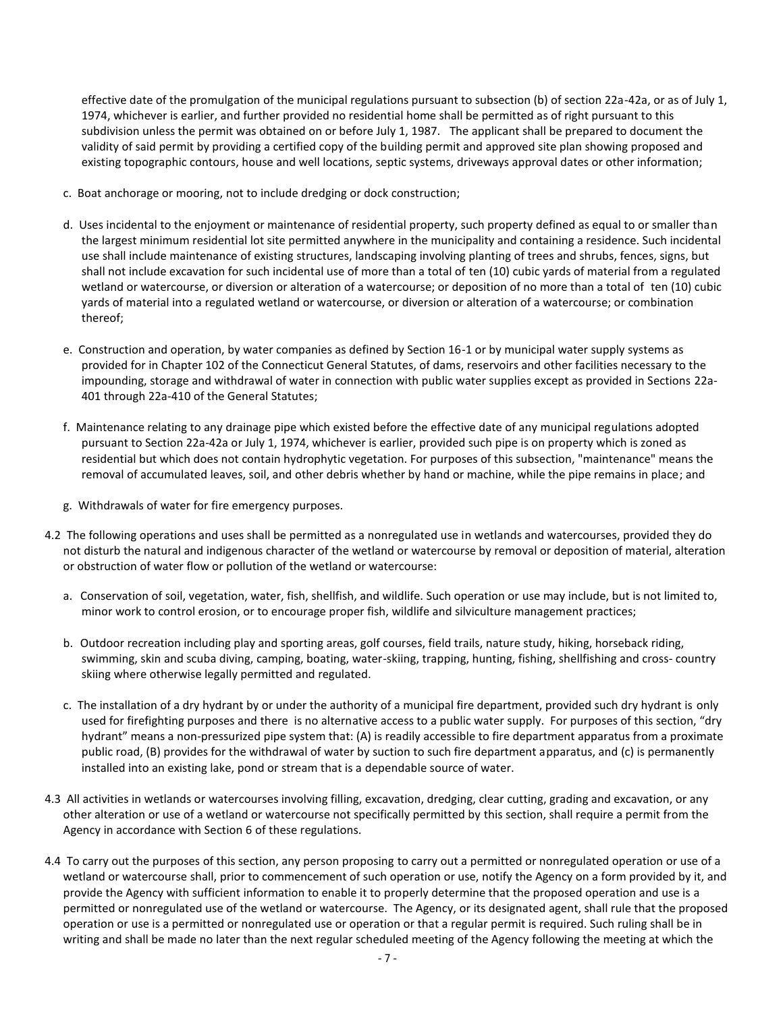effective date of the promulgation of the municipal regulations pursuant to subsection (b) of section 22a-42a, or as of July 1, 1974, whichever is earlier, and further provided no residential home shall be permitted as of right pursuant to this subdivision unless the permit was obtained on or before July 1, 1987. The applicant shall be prepared to document the validity of said permit by providing a certified copy of the building permit and approved site plan showing proposed and existing topographic contours, house and well locations, septic systems, driveways approval dates or other information;

- c. Boat anchorage or mooring, not to include dredging or dock construction;
- d. Uses incidental to the enjoyment or maintenance of residential property, such property defined as equal to or smaller than the largest minimum residential lot site permitted anywhere in the municipality and containing a residence. Such incidental use shall include maintenance of existing structures, landscaping involving planting of trees and shrubs, fences, signs, but shall not include excavation for such incidental use of more than a total of ten (10) cubic yards of material from a regulated wetland or watercourse, or diversion or alteration of a watercourse; or deposition of no more than a total of ten (10) cubic yards of material into a regulated wetland or watercourse, or diversion or alteration of a watercourse; or combination thereof;
- e. Construction and operation, by water companies as defined by Section 16-1 or by municipal water supply systems as provided for in Chapter 102 of the Connecticut General Statutes, of dams, reservoirs and other facilities necessary to the impounding, storage and withdrawal of water in connection with public water supplies except as provided in Sections 22a- 401 through 22a-410 of the General Statutes;
- f. Maintenance relating to any drainage pipe which existed before the effective date of any municipal regulations adopted pursuant to Section 22a-42a or July 1, 1974, whichever is earlier, provided such pipe is on property which is zoned as residential but which does not contain hydrophytic vegetation. For purposes of this subsection, "maintenance" means the removal of accumulated leaves, soil, and other debris whether by hand or machine, while the pipe remains in place; and
- g. Withdrawals of water for fire emergency purposes.
- 4.2 The following operations and uses shall be permitted as a nonregulated use in wetlands and watercourses, provided they do not disturb the natural and indigenous character of the wetland or watercourse by removal or deposition of material, alteration or obstruction of water flow or pollution of the wetland or watercourse:
	- a. Conservation of soil, vegetation, water, fish, shellfish, and wildlife. Such operation or use may include, but is not limited to, minor work to control erosion, or to encourage proper fish, wildlife and silviculture management practices;
	- b. Outdoor recreation including play and sporting areas, golf courses, field trails, nature study, hiking, horseback riding, swimming, skin and scuba diving, camping, boating, water-skiing, trapping, hunting, fishing, shellfishing and cross- country skiing where otherwise legally permitted and regulated.
	- c. The installation of a dry hydrant by or under the authority of a municipal fire department, provided such dry hydrant is only used for firefighting purposes and there is no alternative access to a public water supply. For purposes of this section, "dry hydrant" means a non-pressurized pipe system that: (A) is readily accessible to fire department apparatus from a proximate public road, (B) provides for the withdrawal of water by suction to such fire department apparatus, and (c) is permanently installed into an existing lake, pond or stream that is a dependable source of water.
- 4.3 All activities in wetlands or watercourses involving filling, excavation, dredging, clear cutting, grading and excavation, or any other alteration or use of a wetland or watercourse not specifically permitted by this section, shall require a permit from the Agency in accordance with Section 6 of these regulations.
- 4.4 To carry out the purposes of this section, any person proposing to carry out a permitted or nonregulated operation or use of a wetland or watercourse shall, prior to commencement of such operation or use, notify the Agency on a form provided by it, and provide the Agency with sufficient information to enable it to properly determine that the proposed operation and use is a permitted or nonregulated use of the wetland or watercourse. The Agency, or its designated agent, shall rule that the proposed operation or use is a permitted or nonregulated use or operation or that a regular permit is required. Such ruling shall be in writing and shall be made no later than the next regular scheduled meeting of the Agency following the meeting at which the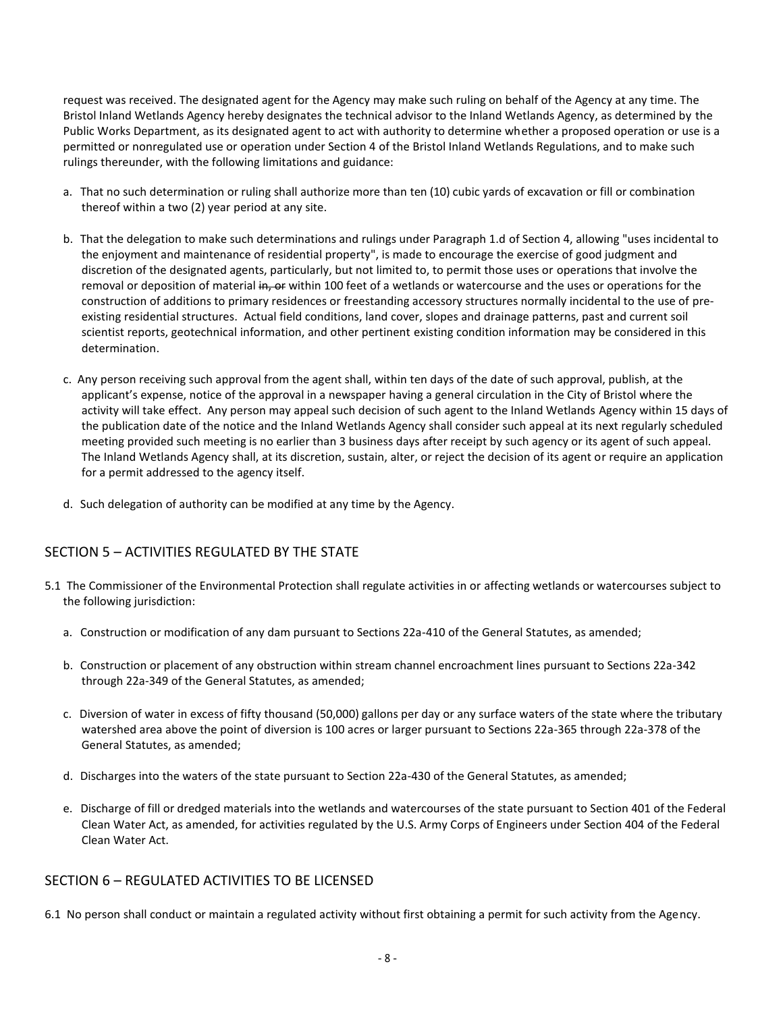request was received. The designated agent for the Agency may make such ruling on behalf of the Agency at any time. The Bristol Inland Wetlands Agency hereby designates the technical advisor to the Inland Wetlands Agency, as determined by the Public Works Department, as its designated agent to act with authority to determine whether a proposed operation or use is a permitted or nonregulated use or operation under Section 4 of the Bristol Inland Wetlands Regulations, and to make such rulings thereunder, with the following limitations and guidance:

- a. That no such determination or ruling shall authorize more than ten (10) cubic yards of excavation or fill or combination thereof within a two (2) year period at any site.
- b. That the delegation to make such determinations and rulings under Paragraph 1.d of Section 4, allowing "uses incidental to the enjoyment and maintenance of residential property", is made to encourage the exercise of good judgment and discretion of the designated agents, particularly, but not limited to, to permit those uses or operations that involve the removal or deposition of material in, or within 100 feet of a wetlands or watercourse and the uses or operations for the construction of additions to primary residences or freestanding accessory structures normally incidental to the use of pre existing residential structures. Actual field conditions, land cover, slopes and drainage patterns, past and current soil scientist reports, geotechnical information, and other pertinent existing condition information may be considered in this determination.
- c. Any person receiving such approval from the agent shall, within ten days of the date of such approval, publish, at the applicant's expense, notice of the approval in a newspaper having a general circulation in the City of Bristol where the activity will take effect. Any person may appeal such decision of such agent to the Inland Wetlands Agency within 15 days of the publication date of the notice and the Inland Wetlands Agency shall consider such appeal at its next regularly scheduled meeting provided such meeting is no earlier than 3 business days after receipt by such agency or its agent of such appeal. The Inland Wetlands Agency shall, at its discretion, sustain, alter, or reject the decision of its agent or require an application for a permit addressed to the agency itself.
- d. Such delegation of authority can be modified at any time by the Agency.

## SECTION 5 – ACTIVITIES REGULATED BY THE STATE

- 5.1 The Commissioner of the Environmental Protection shall regulate activities in or affecting wetlands or watercourses subject to the following jurisdiction:
	- a. Construction or modification of any dam pursuant to Sections 22a-410 of the General Statutes, as amended;
	- b. Construction or placement of any obstruction within stream channel encroachment lines pursuant to Sections 22a-342 through 22a-349 of the General Statutes, as amended;
	- c. Diversion of water in excess of fifty thousand (50,000) gallons per day or any surface waters of the state where the tributary watershed area above the point of diversion is 100 acres or larger pursuant to Sections 22a-365 through 22a-378 of the General Statutes, as amended;
	- d. Discharges into the waters of the state pursuant to Section 22a-430 of the General Statutes, as amended;
	- e. Discharge of fill or dredged materials into the wetlands and watercourses of the state pursuant to Section 401 of the Federal Clean Water Act, as amended, for activities regulated by the U.S. Army Corps of Engineers under Section 404 of the Federal Clean Water Act.

#### SECTION 6 – REGULATED ACTIVITIES TO BE LICENSED

6.1 No person shall conduct or maintain a regulated activity without first obtaining a permit for such activity from the Agency.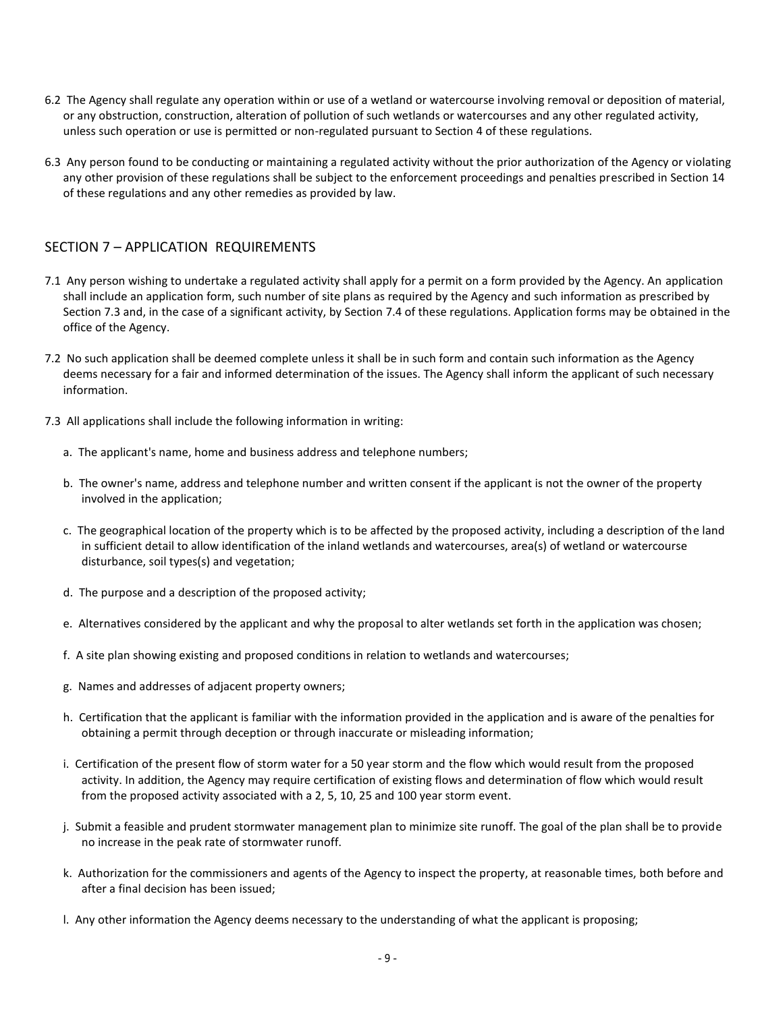- 6.2 The Agency shall regulate any operation within or use of a wetland or watercourse involving removal or deposition of material, or any obstruction, construction, alteration of pollution of such wetlands or watercourses and any other regulated activity, unless such operation or use is permitted or non-regulated pursuant to Section 4 of these regulations.
- 6.3 Any person found to be conducting or maintaining a regulated activity without the prior authorization of the Agency or violating any other provision of these regulations shall be subject to the enforcement proceedings and penalties prescribed in Section 14 of these regulations and any other remedies as provided by law.

## SECTION 7 – APPLICATION REQUIREMENTS

- 7.1 Any person wishing to undertake a regulated activity shall apply for a permit on a form provided by the Agency. An application shall include an application form, such number of site plans as required by the Agency and such information as prescribed by Section 7.3 and, in the case of a significant activity, by Section 7.4 of these regulations. Application forms may be obtained in the office of the Agency.
- 7.2 No such application shall be deemed complete unless it shall be in such form and contain such information as the Agency deems necessary for a fair and informed determination of the issues. The Agency shall inform the applicant of such necessary information.
- 7.3 All applications shall include the following information in writing:
	- a. The applicant's name, home and business address and telephone numbers;
	- b. The owner's name, address and telephone number and written consent if the applicant is not the owner of the property involved in the application;
	- c. The geographical location of the property which is to be affected by the proposed activity, including a description of the land in sufficient detail to allow identification of the inland wetlands and watercourses, area(s) of wetland or watercourse disturbance, soil types(s) and vegetation;
	- d. The purpose and a description of the proposed activity;
	- e. Alternatives considered by the applicant and why the proposal to alter wetlands set forth in the application was chosen;
	- f. A site plan showing existing and proposed conditions in relation to wetlands and watercourses;
	- g. Names and addresses of adjacent property owners;
	- h. Certification that the applicant is familiar with the information provided in the application and is aware of the penalties for obtaining a permit through deception or through inaccurate or misleading information;
	- i. Certification of the present flow of storm water for a 50 year storm and the flow which would result from the proposed activity. In addition, the Agency may require certification of existing flows and determination of flow which would result from the proposed activity associated with a 2, 5, 10, 25 and 100 year storm event.
	- j. Submit a feasible and prudent stormwater management plan to minimize site runoff. The goal of the plan shall be to provide no increase in the peak rate of stormwater runoff.
	- k. Authorization for the commissioners and agents of the Agency to inspect the property, at reasonable times, both before and after a final decision has been issued;
	- l. Any other information the Agency deems necessary to the understanding of what the applicant is proposing;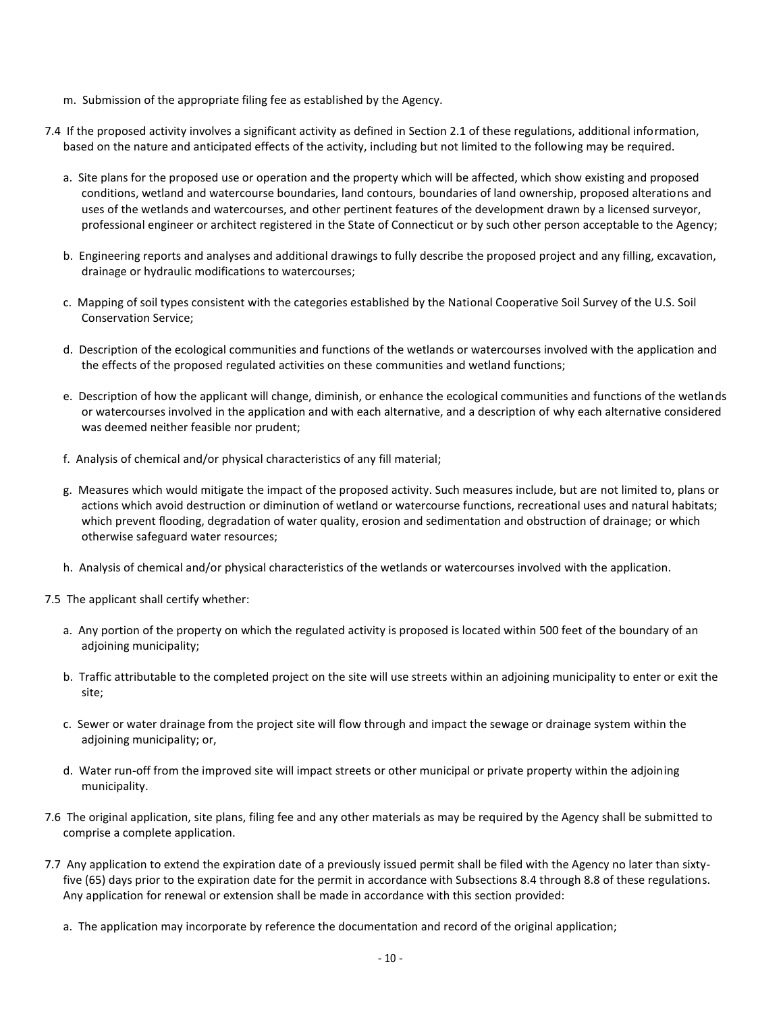- m. Submission of the appropriate filing fee as established by the Agency.
- 7.4 If the proposed activity involves a significant activity as defined in Section 2.1 of these regulations, additional information, based on the nature and anticipated effects of the activity, including but not limited to the following may be required.
	- a. Site plans for the proposed use or operation and the property which will be affected, which show existing and proposed conditions, wetland and watercourse boundaries, land contours, boundaries of land ownership, proposed alterations and uses of the wetlands and watercourses, and other pertinent features of the development drawn by a licensed surveyor, professional engineer or architect registered in the State of Connecticut or by such other person acceptable to the Agency;
	- b. Engineering reports and analyses and additional drawings to fully describe the proposed project and any filling, excavation, drainage or hydraulic modifications to watercourses;
	- c. Mapping of soil types consistent with the categories established by the National Cooperative Soil Survey of the U.S. Soil Conservation Service;
	- d. Description of the ecological communities and functions of the wetlands or watercourses involved with the application and the effects of the proposed regulated activities on these communities and wetland functions;
	- e. Description of how the applicant will change, diminish, or enhance the ecological communities and functions of the wetlands or watercourses involved in the application and with each alternative, and a description of why each alternative considered was deemed neither feasible nor prudent;
	- f. Analysis of chemical and/or physical characteristics of any fill material;
	- g. Measures which would mitigate the impact of the proposed activity. Such measures include, but are not limited to, plans or actions which avoid destruction or diminution of wetland or watercourse functions, recreational uses and natural habitats; which prevent flooding, degradation of water quality, erosion and sedimentation and obstruction of drainage; or which otherwise safeguard water resources;
	- h. Analysis of chemical and/or physical characteristics of the wetlands or watercourses involved with the application.
- 7.5 The applicant shall certify whether:
	- a. Any portion of the property on which the regulated activity is proposed is located within 500 feet of the boundary of an adjoining municipality;
	- b. Traffic attributable to the completed project on the site will use streets within an adjoining municipality to enter or exit the site;
	- c. Sewer or water drainage from the project site will flow through and impact the sewage or drainage system within the adjoining municipality; or,
	- d. Water run-off from the improved site will impact streets or other municipal or private property within the adjoining municipality.
- 7.6 The original application, site plans, filing fee and any other materials as may be required by the Agency shall be submitted to comprise a complete application.
- 7.7 Any application to extend the expiration date of a previously issued permit shall be filed with the Agency no later than sixtyfive (65) days prior to the expiration date for the permit in accordance with Subsections 8.4 through 8.8 of these regulations. Any application for renewal or extension shall be made in accordance with this section provided:
	- a. The application may incorporate by reference the documentation and record of the original application;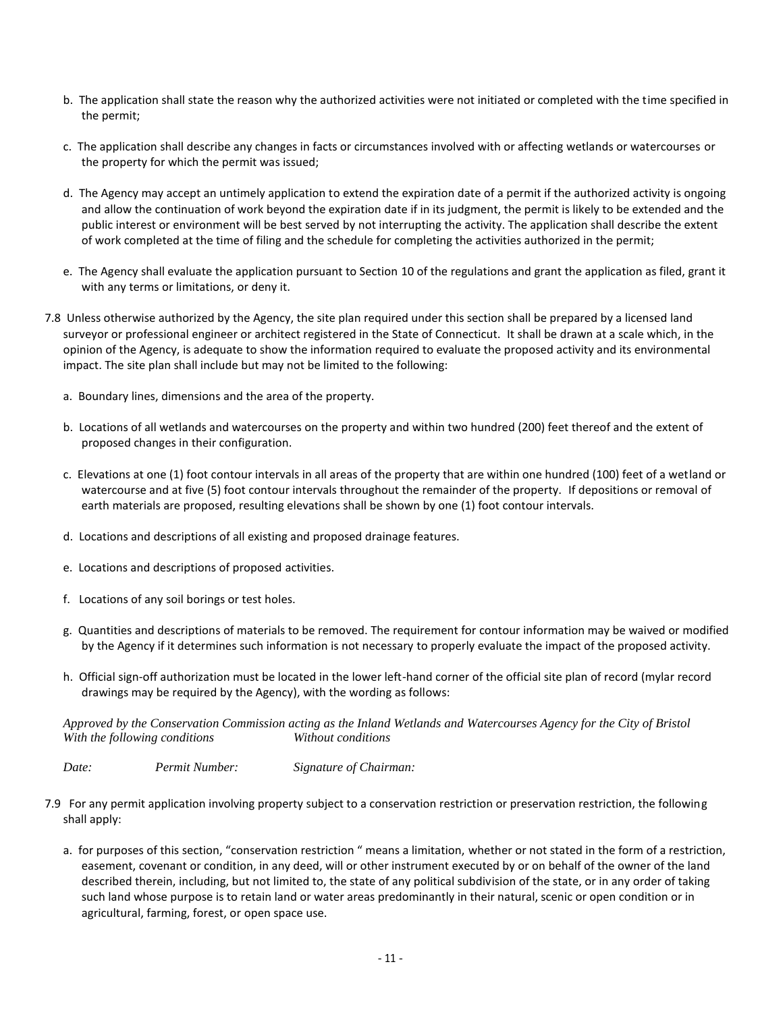- b. The application shall state the reason why the authorized activities were not initiated or completed with the time specified in the permit;
- c. The application shall describe any changes in facts or circumstances involved with or affecting wetlands or watercourses or the property for which the permit was issued;
- d. The Agency may accept an untimely application to extend the expiration date of a permit if the authorized activity is ongoing and allow the continuation of work beyond the expiration date if in its judgment, the permit is likely to be extended and the public interest or environment will be best served by not interrupting the activity. The application shall describe the extent of work completed at the time of filing and the schedule for completing the activities authorized in the permit;
- e. The Agency shall evaluate the application pursuant to Section 10 of the regulations and grant the application as filed, grant it with any terms or limitations, or deny it.
- 7.8 Unless otherwise authorized by the Agency, the site plan required under this section shall be prepared by a licensed land surveyor or professional engineer or architect registered in the State of Connecticut. It shall be drawn at a scale which, in the opinion of the Agency, is adequate to show the information required to evaluate the proposed activity and its environmental impact. The site plan shall include but may not be limited to the following:
	- a. Boundary lines, dimensions and the area of the property.
	- b. Locations of all wetlands and watercourses on the property and within two hundred (200) feet thereof and the extent of proposed changes in their configuration.
	- c. Elevations at one (1) foot contour intervals in all areas of the property that are within one hundred (100) feet of a wetland or watercourse and at five (5) foot contour intervals throughout the remainder of the property. If depositions or removal of earth materials are proposed, resulting elevations shall be shown by one (1) foot contour intervals.
	- d. Locations and descriptions of all existing and proposed drainage features.
	- e. Locations and descriptions of proposed activities.
	- f. Locations of any soil borings or test holes.
	- g. Quantities and descriptions of materials to be removed. The requirement for contour information may be waived or modified by the Agency if it determines such information is not necessary to properly evaluate the impact of the proposed activity.
	- h. Official sign-off authorization must be located in the lower left-hand corner of the official site plan of record (mylar record drawings may be required by the Agency), with the wording as follows:

*Approved by the Conservation Commission acting as the Inland Wetlands and Watercourses Agency for the City of Bristol With the following conditions Without conditions*

*Date: Permit Number: Signature of Chairman:*

- 7.9 For any permit application involving property subject to a conservation restriction or preservation restriction, the following shall apply:
	- a. for purposes of this section, "conservation restriction " means a limitation, whether or not stated in the form of a restriction, easement, covenant or condition, in any deed, will or other instrument executed by or on behalf of the owner of the land described therein, including, but not limited to, the state of any political subdivision of the state, or in any order of taking such land whose purpose is to retain land or water areas predominantly in their natural, scenic or open condition or in agricultural, farming, forest, or open space use.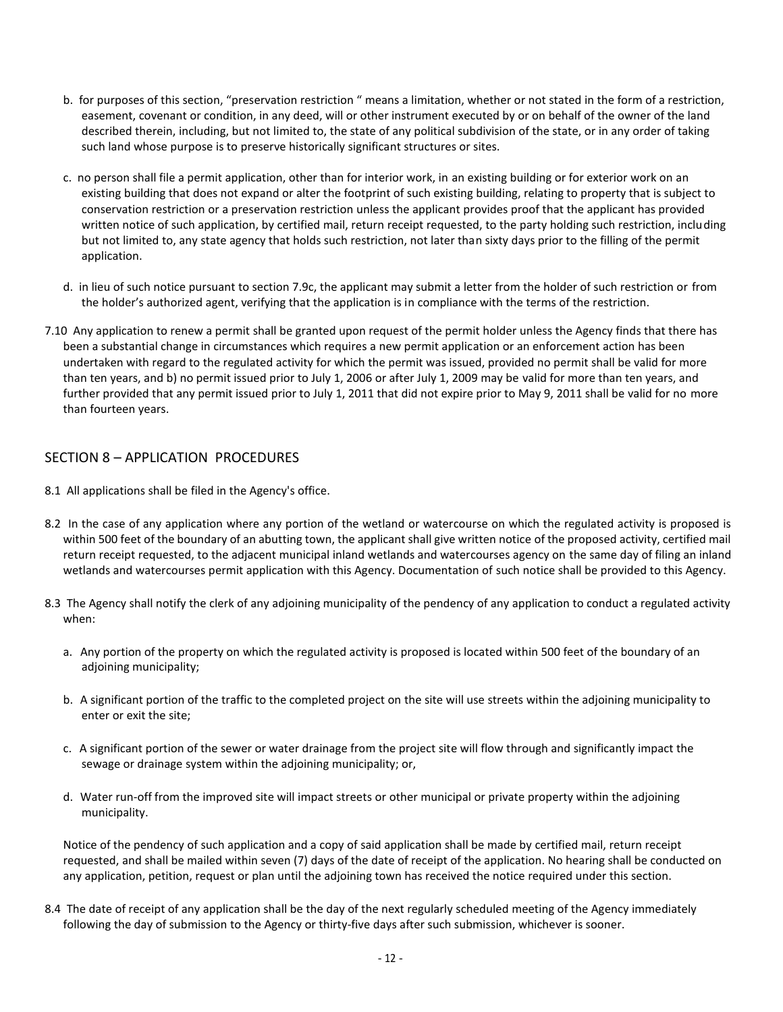- b. for purposes of this section, "preservation restriction " means a limitation, whether or not stated in the form of a restriction, easement, covenant or condition, in any deed, will or other instrument executed by or on behalf of the owner of the land described therein, including, but not limited to, the state of any political subdivision of the state, or in any order of taking such land whose purpose is to preserve historically significant structures or sites.
- c. no person shall file a permit application, other than for interior work, in an existing building or for exterior work on an existing building that does not expand or alter the footprint of such existing building, relating to property that is subject to conservation restriction or a preservation restriction unless the applicant provides proof that the applicant has provided written notice of such application, by certified mail, return receipt requested, to the party holding such restriction, including but not limited to, any state agency that holds such restriction, not later than sixty days prior to the filling of the permit application.
- d. in lieu of such notice pursuant to section 7.9c, the applicant may submit a letter from the holder of such restriction or from the holder's authorized agent, verifying that the application is in compliance with the terms of the restriction.
- 7.10 Any application to renew a permit shall be granted upon request of the permit holder unless the Agency finds that there has been a substantial change in circumstances which requires a new permit application or an enforcement action has been undertaken with regard to the regulated activity for which the permit was issued, provided no permit shall be valid for more than ten years, and b) no permit issued prior to July 1, 2006 or after July 1, 2009 may be valid for more than ten years, and further provided that any permit issued prior to July 1, 2011 that did not expire prior to May 9, 2011 shall be valid for no more than fourteen years.

## SECTION 8 – APPLICATION PROCEDURES

- 8.1 All applications shall be filed in the Agency's office.
- 8.2 In the case of any application where any portion of the wetland or watercourse on which the regulated activity is proposed is within 500 feet of the boundary of an abutting town, the applicant shall give written notice of the proposed activity, certified mail return receipt requested, to the adjacent municipal inland wetlands and watercourses agency on the same day of filing an inland wetlands and watercourses permit application with this Agency. Documentation of such notice shall be provided to this Agency.
- 8.3 The Agency shall notify the clerk of any adjoining municipality of the pendency of any application to conduct a regulated activity when:
	- a. Any portion of the property on which the regulated activity is proposed is located within 500 feet of the boundary of an adjoining municipality;
	- b. A significant portion of the traffic to the completed project on the site will use streets within the adjoining municipality to enter or exit the site;
	- c. A significant portion of the sewer or water drainage from the project site will flow through and significantly impact the sewage or drainage system within the adjoining municipality; or,
	- d. Water run-off from the improved site will impact streets or other municipal or private property within the adjoining municipality.

Notice of the pendency of such application and a copy of said application shall be made by certified mail, return receipt requested, and shall be mailed within seven (7) days of the date of receipt of the application. No hearing shall be conducted on any application, petition, request or plan until the adjoining town has received the notice required under this section.

8.4 The date of receipt of any application shall be the day of the next regularly scheduled meeting of the Agency immediately following the day of submission to the Agency or thirty-five days after such submission, whichever is sooner.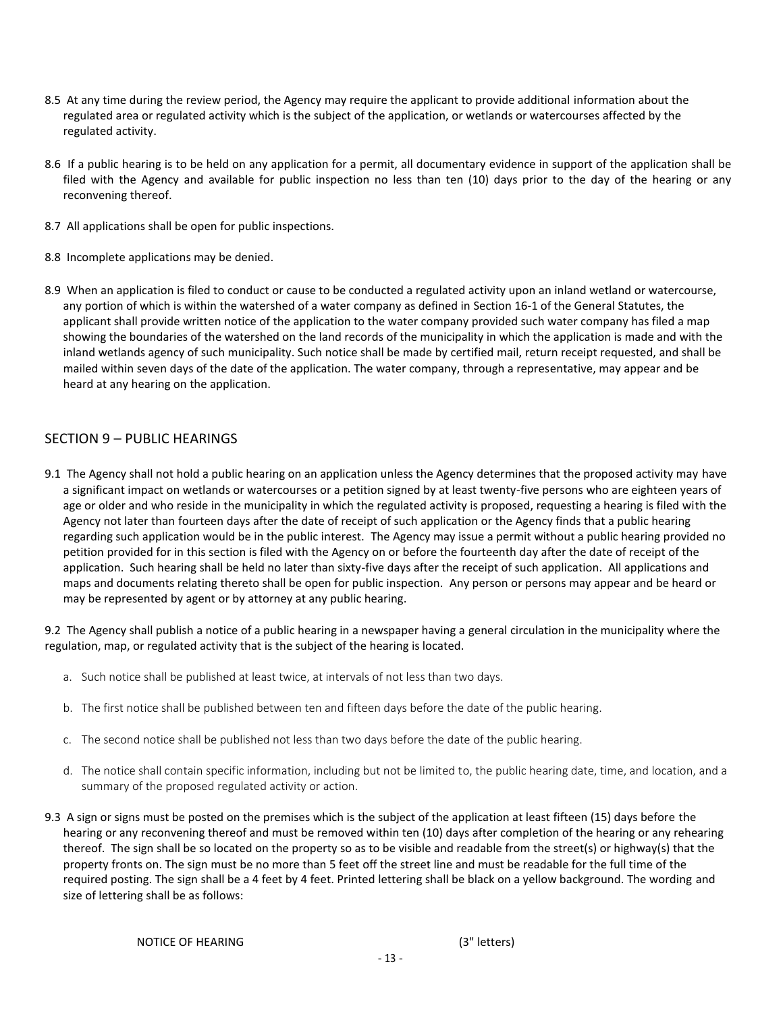- 8.5 At any time during the review period, the Agency may require the applicant to provide additional information about the regulated area or regulated activity which is the subject of the application, or wetlands or watercourses affected by the regulated activity.
- 8.6 If a public hearing is to be held on any application for a permit, all documentary evidence in support of the application shall be filed with the Agency and available for public inspection no less than ten (10) days prior to the day of the hearing or any reconvening thereof.
- 8.7 All applications shall be open for public inspections.
- 8.8 Incomplete applications may be denied.
- 8.9 When an application is filed to conduct or cause to be conducted a regulated activity upon an inland wetland or watercourse, any portion of which is within the watershed of a water company as defined in Section 16-1 of the General Statutes, the applicant shall provide written notice of the application to the water company provided such water company has filed a map showing the boundaries of the watershed on the land records of the municipality in which the application is made and with the inland wetlands agency of such municipality. Such notice shall be made by certified mail, return receipt requested, and shall be mailed within seven days of the date of the application. The water company, through a representative, may appear and be heard at any hearing on the application.

#### SECTION 9 – PUBLIC HEARINGS

9.1 The Agency shall not hold a public hearing on an application unless the Agency determines that the proposed activity may have a significant impact on wetlands or watercourses or a petition signed by at least twenty-five persons who are eighteen years of age or older and who reside in the municipality in which the regulated activity is proposed, requesting a hearing is filed with the Agency not later than fourteen days after the date of receipt of such application or the Agency finds that a public hearing regarding such application would be in the public interest. The Agency may issue a permit without a public hearing provided no petition provided for in this section is filed with the Agency on or before the fourteenth day after the date of receipt of the application. Such hearing shall be held no later than sixty-five days after the receipt of such application. All applications and maps and documents relating thereto shall be open for public inspection. Any person or persons may appear and be heard or may be represented by agent or by attorney at any public hearing.

9.2 The Agency shall publish a notice of a public hearing in a newspaper having a general circulation in the municipality where the regulation, map, or regulated activity that is the subject of the hearing is located.

- a. Such notice shall be published at least twice, at intervals of not less than two days.
- b. The first notice shall be published between ten and fifteen days before the date of the public hearing.
- c. The second notice shall be published not less than two days before the date of the public hearing.
- d. The notice shall contain specific information, including but not be limited to, the public hearing date, time, and location, and a summary of the proposed regulated activity or action.
- 9.3 A sign or signs must be posted on the premises which is the subject of the application at least fifteen (15) days before the hearing or any reconvening thereof and must be removed within ten (10) days after completion of the hearing or any rehearing thereof. The sign shall be so located on the property so as to be visible and readable from the street(s) or highway(s) that the property fronts on. The sign must be no more than 5 feet off the street line and must be readable for the full time of the required posting. The sign shall be a 4 feet by 4 feet. Printed lettering shall be black on a yellow background. The wording and size of lettering shall be as follows: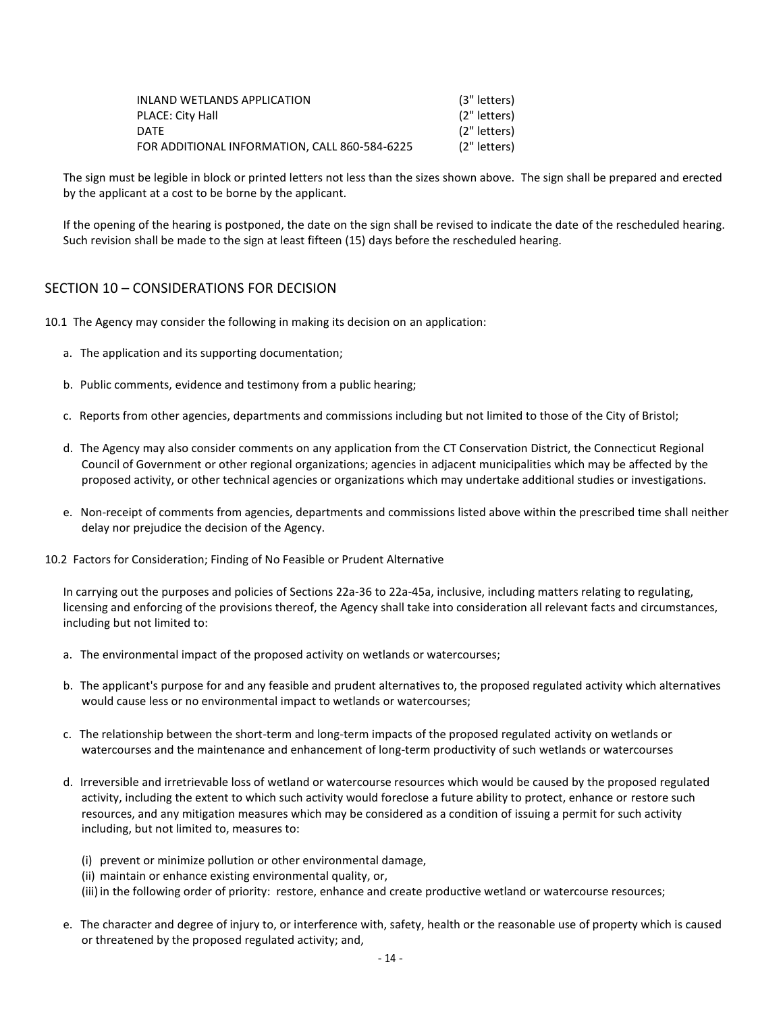| INLAND WETLANDS APPLICATION                   | (3" letters) |
|-----------------------------------------------|--------------|
| PLACE: City Hall                              | (2" letters) |
| DATF                                          | (2" letters) |
| FOR ADDITIONAL INFORMATION. CALL 860-584-6225 | (2" letters) |

The sign must be legible in block or printed letters not less than the sizes shown above. The sign shall be prepared and erected by the applicant at a cost to be borne by the applicant.

If the opening of the hearing is postponed, the date on the sign shall be revised to indicate the date of the rescheduled hearing. Such revision shall be made to the sign at least fifteen (15) days before the rescheduled hearing.

## SECTION 10 – CONSIDERATIONS FOR DECISION

- 10.1 The Agency may consider the following in making its decision on an application:
	- a. The application and its supporting documentation;
	- b. Public comments, evidence and testimony from a public hearing;
	- c. Reports from other agencies, departments and commissions including but not limited to those of the City of Bristol;
	- d. The Agency may also consider comments on any application from the CT Conservation District, the Connecticut Regional Council of Government or other regional organizations; agencies in adjacent municipalities which may be affected by the proposed activity, or other technical agencies or organizations which may undertake additional studies or investigations.
	- e. Non-receipt of comments from agencies, departments and commissions listed above within the prescribed time shall neither delay nor prejudice the decision of the Agency.
- 10.2 Factors for Consideration; Finding of No Feasible or Prudent Alternative

In carrying out the purposes and policies of Sections 22a-36 to 22a-45a, inclusive, including matters relating to regulating, licensing and enforcing of the provisions thereof, the Agency shall take into consideration all relevant facts and circumstances, including but not limited to:

- a. The environmental impact of the proposed activity on wetlands or watercourses;
- b. The applicant's purpose for and any feasible and prudent alternatives to, the proposed regulated activity which alternatives would cause less or no environmental impact to wetlands or watercourses;
- c. The relationship between the short-term and long-term impacts of the proposed regulated activity on wetlands or watercourses and the maintenance and enhancement of long-term productivity of such wetlands or watercourses
- d. Irreversible and irretrievable loss of wetland or watercourse resources which would be caused by the proposed regulated activity, including the extent to which such activity would foreclose a future ability to protect, enhance or restore such resources, and any mitigation measures which may be considered as a condition of issuing a permit for such activity including, but not limited to, measures to:
	- (i) prevent or minimize pollution or other environmental damage,
	- (ii) maintain or enhance existing environmental quality, or,
	- (iii) in the following order of priority: restore, enhance and create productive wetland or watercourse resources;
- e. The character and degree of injury to, or interference with, safety, health or the reasonable use of property which is caused or threatened by the proposed regulated activity; and,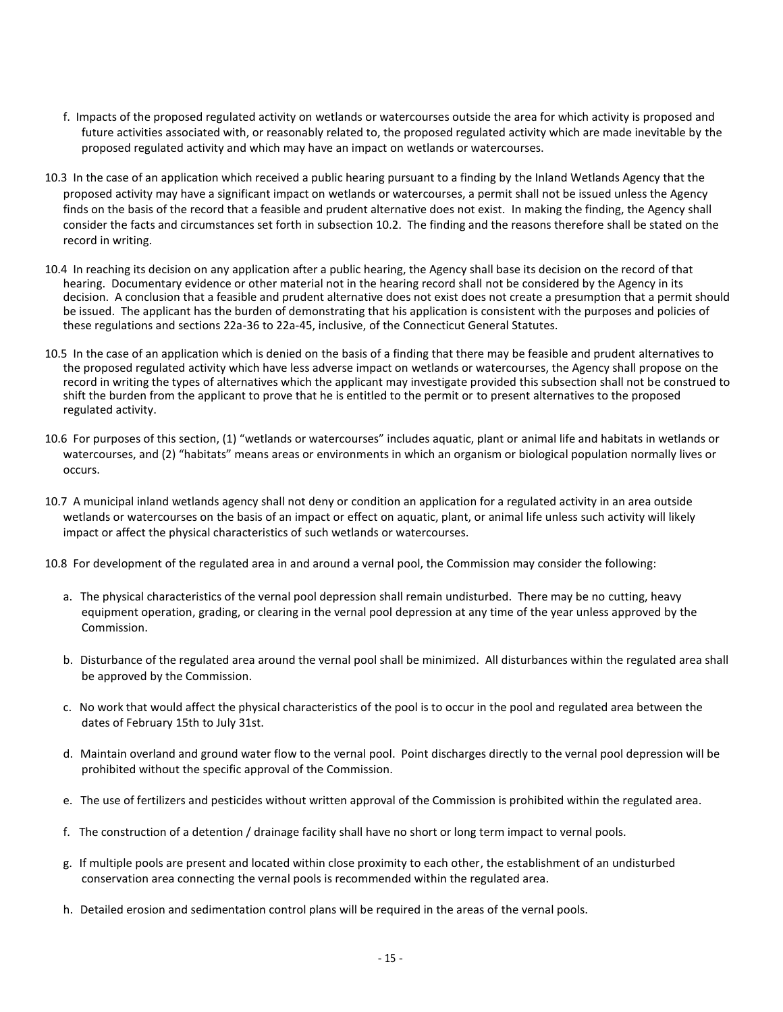- f. Impacts of the proposed regulated activity on wetlands or watercourses outside the area for which activity is proposed and future activities associated with, or reasonably related to, the proposed regulated activity which are made inevitable by the proposed regulated activity and which may have an impact on wetlands or watercourses.
- 10.3 In the case of an application which received a public hearing pursuant to a finding by the Inland Wetlands Agency that the proposed activity may have a significant impact on wetlands or watercourses, a permit shall not be issued unless the Agency finds on the basis of the record that a feasible and prudent alternative does not exist. In making the finding, the Agency shall consider the facts and circumstances set forth in subsection 10.2. The finding and the reasons therefore shall be stated on the record in writing.
- 10.4 In reaching its decision on any application after a public hearing, the Agency shall base its decision on the record of that hearing. Documentary evidence or other material not in the hearing record shall not be considered by the Agency in its decision. A conclusion that a feasible and prudent alternative does not exist does not create a presumption that a permit should be issued. The applicant has the burden of demonstrating that his application is consistent with the purposes and policies of these regulations and sections 22a-36 to 22a-45, inclusive, of the Connecticut General Statutes.
- 10.5 In the case of an application which is denied on the basis of a finding that there may be feasible and prudent alternatives to the proposed regulated activity which have less adverse impact on wetlands or watercourses, the Agency shall propose on the record in writing the types of alternatives which the applicant may investigate provided this subsection shall not be construed to shift the burden from the applicant to prove that he is entitled to the permit or to present alternatives to the proposed regulated activity.
- 10.6 For purposes of this section, (1) "wetlands or watercourses" includes aquatic, plant or animal life and habitats in wetlands or watercourses, and (2) "habitats" means areas or environments in which an organism or biological population normally lives or occurs.
- 10.7 A municipal inland wetlands agency shall not deny or condition an application for a regulated activity in an area outside wetlands or watercourses on the basis of an impact or effect on aquatic, plant, or animal life unless such activity will likely impact or affect the physical characteristics of such wetlands or watercourses.
- 10.8 For development of the regulated area in and around a vernal pool, the Commission may consider the following:
	- a. The physical characteristics of the vernal pool depression shall remain undisturbed. There may be no cutting, heavy equipment operation, grading, or clearing in the vernal pool depression at any time of the year unless approved by the Commission.
	- b. Disturbance of the regulated area around the vernal pool shall be minimized. All disturbances within the regulated area shall be approved by the Commission.
	- c. No work that would affect the physical characteristics of the pool is to occur in the pool and regulated area between the dates of February 15th to July 31st.
	- d. Maintain overland and ground water flow to the vernal pool. Point discharges directly to the vernal pool depression will be prohibited without the specific approval of the Commission.
	- e. The use of fertilizers and pesticides without written approval of the Commission is prohibited within the regulated area.
	- f. The construction of a detention / drainage facility shall have no short or long term impact to vernal pools.
	- g. If multiple pools are present and located within close proximity to each other, the establishment of an undisturbed conservation area connecting the vernal pools is recommended within the regulated area.
	- h. Detailed erosion and sedimentation control plans will be required in the areas of the vernal pools.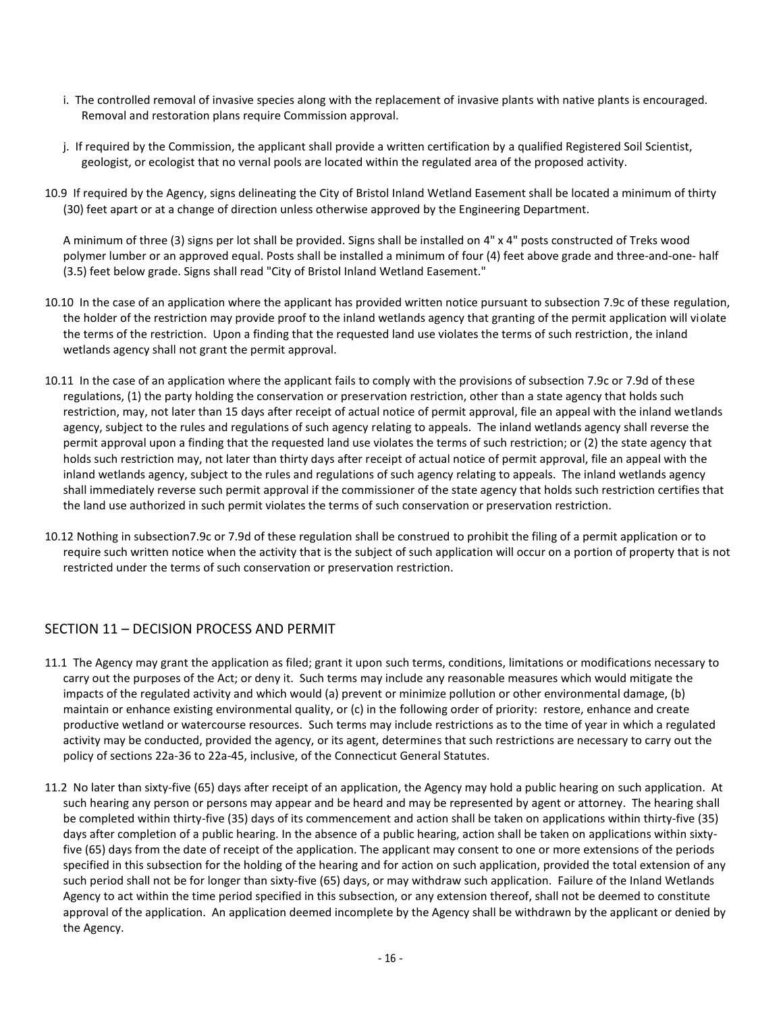- i. The controlled removal of invasive species along with the replacement of invasive plants with native plants is encouraged. Removal and restoration plans require Commission approval.
- j. If required by the Commission, the applicant shall provide a written certification by a qualified Registered Soil Scientist, geologist, or ecologist that no vernal pools are located within the regulated area of the proposed activity.
- 10.9 If required by the Agency, signs delineating the City of Bristol Inland Wetland Easement shall be located a minimum of thirty (30) feet apart or at a change of direction unless otherwise approved by the Engineering Department.

A minimum of three (3) signs per lot shall be provided. Signs shall be installed on 4" x 4" posts constructed of Treks wood polymer lumber or an approved equal. Posts shall be installed a minimum of four (4) feet above grade and three-and-one- half (3.5) feet below grade. Signs shall read "City of Bristol Inland Wetland Easement."

- 10.10 In the case of an application where the applicant has provided written notice pursuant to subsection 7.9c of these regulation, the holder of the restriction may provide proof to the inland wetlands agency that granting of the permit application will violate the terms of the restriction. Upon a finding that the requested land use violates the terms of such restriction, the inland wetlands agency shall not grant the permit approval.
- 10.11 In the case of an application where the applicant fails to comply with the provisions of subsection 7.9c or 7.9d of these regulations, (1) the party holding the conservation or preservation restriction, other than a state agency that holds such restriction, may, not later than 15 days after receipt of actual notice of permit approval, file an appeal with the inland wetlands agency, subject to the rules and regulations of such agency relating to appeals. The inland wetlands agency shall reverse the permit approval upon a finding that the requested land use violates the terms of such restriction; or (2) the state agency that holds such restriction may, not later than thirty days after receipt of actual notice of permit approval, file an appeal with the inland wetlands agency, subject to the rules and regulations of such agency relating to appeals. The inland wetlands agency shall immediately reverse such permit approval if the commissioner of the state agency that holds such restriction certifies that the land use authorized in such permit violates the terms of such conservation or preservation restriction.
- 10.12 Nothing in subsection7.9c or 7.9d of these regulation shall be construed to prohibit the filing of a permit application or to require such written notice when the activity that is the subject of such application will occur on a portion of property that is not restricted under the terms of such conservation or preservation restriction.

## SECTION 11 – DECISION PROCESS AND PERMIT

- 11.1 The Agency may grant the application as filed; grant it upon such terms, conditions, limitations or modifications necessary to carry out the purposes of the Act; or deny it. Such terms may include any reasonable measures which would mitigate the impacts of the regulated activity and which would (a) prevent or minimize pollution or other environmental damage, (b) maintain or enhance existing environmental quality, or (c) in the following order of priority: restore, enhance and create productive wetland or watercourse resources. Such terms may include restrictions as to the time of year in which a regulated activity may be conducted, provided the agency, or its agent, determines that such restrictions are necessary to carry out the policy of sections 22a-36 to 22a-45, inclusive, of the Connecticut General Statutes.
- 11.2 No later than sixty-five (65) days after receipt of an application, the Agency may hold a public hearing on such application. At such hearing any person or persons may appear and be heard and may be represented by agent or attorney. The hearing shall be completed within thirty-five (35) days of its commencement and action shall be taken on applications within thirty-five (35) days after completion of a public hearing. In the absence of a public hearing, action shall be taken on applications within sixtyfive (65) days from the date of receipt of the application. The applicant may consent to one or more extensions of the periods specified in this subsection for the holding of the hearing and for action on such application, provided the total extension of any such period shall not be for longer than sixty-five (65) days, or may withdraw such application. Failure of the Inland Wetlands Agency to act within the time period specified in this subsection, or any extension thereof, shall not be deemed to constitute approval of the application. An application deemed incomplete by the Agency shall be withdrawn by the applicant or denied by the Agency.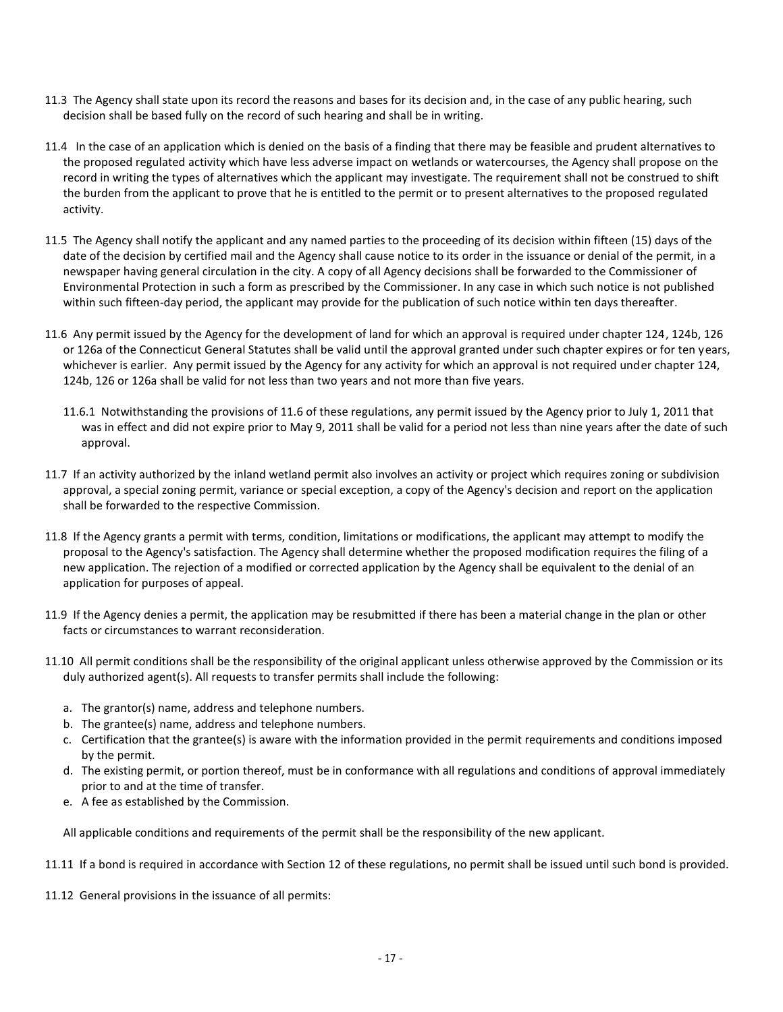- 11.3 The Agency shall state upon its record the reasons and bases for its decision and, in the case of any public hearing, such decision shall be based fully on the record of such hearing and shall be in writing.
- 11.4 In the case of an application which is denied on the basis of a finding that there may be feasible and prudent alternatives to the proposed regulated activity which have less adverse impact on wetlands or watercourses, the Agency shall propose on the record in writing the types of alternatives which the applicant may investigate. The requirement shall not be construed to shift the burden from the applicant to prove that he is entitled to the permit or to present alternatives to the proposed regulated activity.
- 11.5 The Agency shall notify the applicant and any named parties to the proceeding of its decision within fifteen (15) days of the date of the decision by certified mail and the Agency shall cause notice to its order in the issuance or denial of the permit, in a newspaper having general circulation in the city. A copy of all Agency decisions shall be forwarded to the Commissioner of Environmental Protection in such a form as prescribed by the Commissioner. In any case in which such notice is not published within such fifteen-day period, the applicant may provide for the publication of such notice within ten days thereafter.
- 11.6 Any permit issued by the Agency for the development of land for which an approval is required under chapter 124, 124b, 126 or 126a of the Connecticut General Statutes shall be valid until the approval granted under such chapter expires or for ten years, whichever is earlier. Any permit issued by the Agency for any activity for which an approval is not required under chapter 124, 124b, 126 or 126a shall be valid for not less than two years and not more than five years.
	- 11.6.1 Notwithstanding the provisions of 11.6 of these regulations, any permit issued by the Agency prior to July 1, 2011 that was in effect and did not expire prior to May 9, 2011 shall be valid for a period not less than nine years after the date of such approval.
- 11.7 If an activity authorized by the inland wetland permit also involves an activity or project which requires zoning or subdivision approval, a special zoning permit, variance or special exception, a copy of the Agency's decision and report on the application shall be forwarded to the respective Commission.
- 11.8 If the Agency grants a permit with terms, condition, limitations or modifications, the applicant may attempt to modify the proposal to the Agency's satisfaction. The Agency shall determine whether the proposed modification requires the filing of a new application. The rejection of a modified or corrected application by the Agency shall be equivalent to the denial of an application for purposes of appeal.
- 11.9 If the Agency denies a permit, the application may be resubmitted if there has been a material change in the plan or other facts or circumstances to warrant reconsideration.
- 11.10 All permit conditions shall be the responsibility of the original applicant unless otherwise approved by the Commission or its duly authorized agent(s). All requests to transfer permits shall include the following:
	- a. The grantor(s) name, address and telephone numbers.
	- b. The grantee(s) name, address and telephone numbers.
	- c. Certification that the grantee(s) is aware with the information provided in the permit requirements and conditions imposed by the permit.
	- d. The existing permit, or portion thereof, must be in conformance with all regulations and conditions of approval immediately prior to and at the time of transfer.
	- e. A fee as established by the Commission.

All applicable conditions and requirements of the permit shall be the responsibility of the new applicant.

- 11.11 If a bond is required in accordance with Section 12 of these regulations, no permit shall be issued until such bond is provided.
- 11.12 General provisions in the issuance of all permits: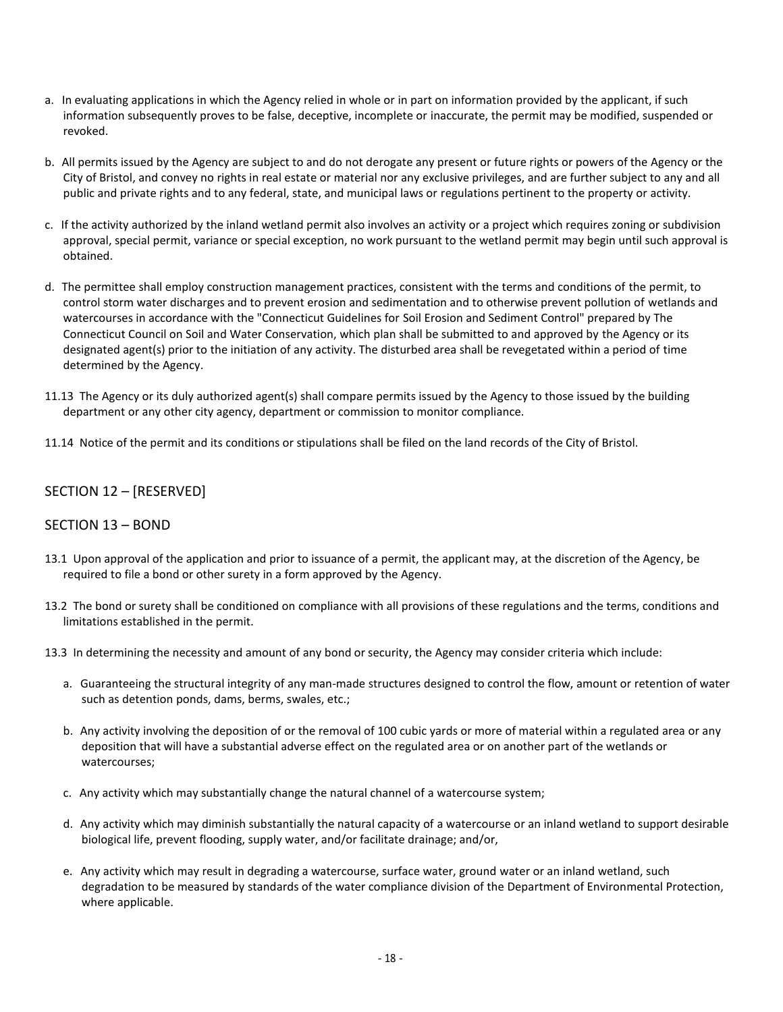- a. In evaluating applications in which the Agency relied in whole or in part on information provided by the applicant, if such information subsequently proves to be false, deceptive, incomplete or inaccurate, the permit may be modified, suspended or revoked.
- b. All permits issued by the Agency are subject to and do not derogate any present or future rights or powers of the Agency or the City of Bristol, and convey no rights in real estate or material nor any exclusive privileges, and are further subject to any and all public and private rights and to any federal, state, and municipal laws or regulations pertinent to the property or activity.
- c. If the activity authorized by the inland wetland permit also involves an activity or a project which requires zoning or subdivision approval, special permit, variance or special exception, no work pursuant to the wetland permit may begin until such approval is obtained.
- d. The permittee shall employ construction management practices, consistent with the terms and conditions of the permit, to control storm water discharges and to prevent erosion and sedimentation and to otherwise prevent pollution of wetlands and watercourses in accordance with the "Connecticut Guidelines for Soil Erosion and Sediment Control" prepared by The Connecticut Council on Soil and Water Conservation, which plan shall be submitted to and approved by the Agency or its designated agent(s) prior to the initiation of any activity. The disturbed area shall be revegetated within a period of time determined by the Agency.
- 11.13 The Agency or its duly authorized agent(s) shall compare permits issued by the Agency to those issued by the building department or any other city agency, department or commission to monitor compliance.
- 11.14 Notice of the permit and its conditions or stipulations shall be filed on the land records of the City of Bristol.

## SECTION 12 – [RESERVED]

#### SECTION 13 – BOND

- 13.1 Upon approval of the application and prior to issuance of a permit, the applicant may, at the discretion of the Agency, be required to file a bond or other surety in a form approved by the Agency.
- 13.2 The bond or surety shall be conditioned on compliance with all provisions of these regulations and the terms, conditions and limitations established in the permit.
- 13.3 In determining the necessity and amount of any bond or security, the Agency may consider criteria which include:
	- a. Guaranteeing the structural integrity of any man-made structures designed to control the flow, amount or retention of water such as detention ponds, dams, berms, swales, etc.;
	- b. Any activity involving the deposition of or the removal of 100 cubic yards or more of material within a regulated area or any deposition that will have a substantial adverse effect on the regulated area or on another part of the wetlands or watercourses;
	- c. Any activity which may substantially change the natural channel of a watercourse system;
	- d. Any activity which may diminish substantially the natural capacity of a watercourse or an inland wetland to support desirable biological life, prevent flooding, supply water, and/or facilitate drainage; and/or,
	- e. Any activity which may result in degrading a watercourse, surface water, ground water or an inland wetland, such degradation to be measured by standards of the water compliance division of the Department of Environmental Protection, where applicable.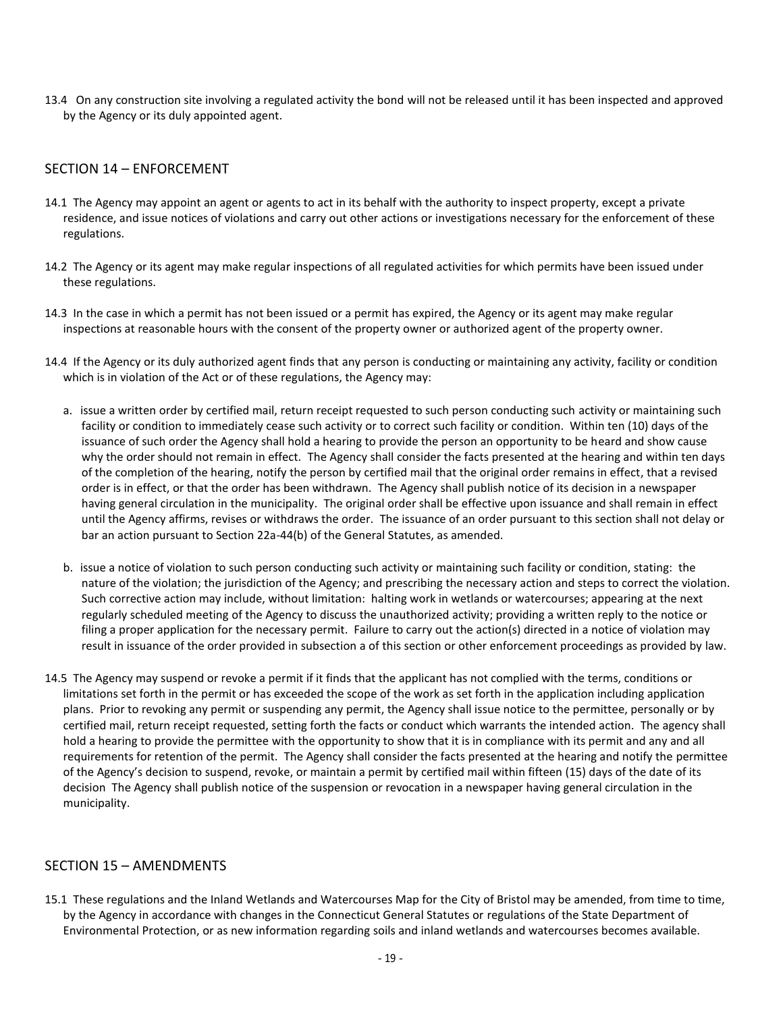13.4 On any construction site involving a regulated activity the bond will not be released until it has been inspected and approved by the Agency or its duly appointed agent.

#### SECTION 14 – ENFORCEMENT

- 14.1 The Agency may appoint an agent or agents to act in its behalf with the authority to inspect property, except a private residence, and issue notices of violations and carry out other actions or investigations necessary for the enforcement of these regulations.
- 14.2 The Agency or its agent may make regular inspections of all regulated activities for which permits have been issued under these regulations.
- 14.3 In the case in which a permit has not been issued or a permit has expired, the Agency or its agent may make regular inspections at reasonable hours with the consent of the property owner or authorized agent of the property owner.
- 14.4 If the Agency or its duly authorized agent finds that any person is conducting or maintaining any activity, facility or condition which is in violation of the Act or of these regulations, the Agency may:
	- a. issue a written order by certified mail, return receipt requested to such person conducting such activity or maintaining such facility or condition to immediately cease such activity or to correct such facility or condition. Within ten (10) days of the issuance of such order the Agency shall hold a hearing to provide the person an opportunity to be heard and show cause why the order should not remain in effect. The Agency shall consider the facts presented at the hearing and within ten days of the completion of the hearing, notify the person by certified mail that the original order remains in effect, that a revised order is in effect, or that the order has been withdrawn. The Agency shall publish notice of its decision in a newspaper having general circulation in the municipality. The original order shall be effective upon issuance and shall remain in effect until the Agency affirms, revises or withdraws the order. The issuance of an order pursuant to this section shall not delay or bar an action pursuant to Section 22a-44(b) of the General Statutes, as amended.
	- b. issue a notice of violation to such person conducting such activity or maintaining such facility or condition, stating: the nature of the violation; the jurisdiction of the Agency; and prescribing the necessary action and steps to correct the violation. Such corrective action may include, without limitation: halting work in wetlands or watercourses; appearing at the next regularly scheduled meeting of the Agency to discuss the unauthorized activity; providing a written reply to the notice or filing a proper application for the necessary permit. Failure to carry out the action(s) directed in a notice of violation may result in issuance of the order provided in subsection a of this section or other enforcement proceedings as provided by law.
- 14.5 The Agency may suspend or revoke a permit if it finds that the applicant has not complied with the terms, conditions or limitations set forth in the permit or has exceeded the scope of the work as set forth in the application including application plans. Prior to revoking any permit or suspending any permit, the Agency shall issue notice to the permittee, personally or by certified mail, return receipt requested, setting forth the facts or conduct which warrants the intended action. The agency shall hold a hearing to provide the permittee with the opportunity to show that it is in compliance with its permit and any and all requirements for retention of the permit. The Agency shall consider the facts presented at the hearing and notify the permittee of the Agency's decision to suspend, revoke, or maintain a permit by certified mail within fifteen (15) days of the date of its decision The Agency shall publish notice of the suspension or revocation in a newspaper having general circulation in the municipality.

#### SECTION 15 – AMENDMENTS

15.1 These regulations and the Inland Wetlands and Watercourses Map for the City of Bristol may be amended, from time to time, by the Agency in accordance with changes in the Connecticut General Statutes or regulations of the State Department of Environmental Protection, or as new information regarding soils and inland wetlands and watercourses becomes available.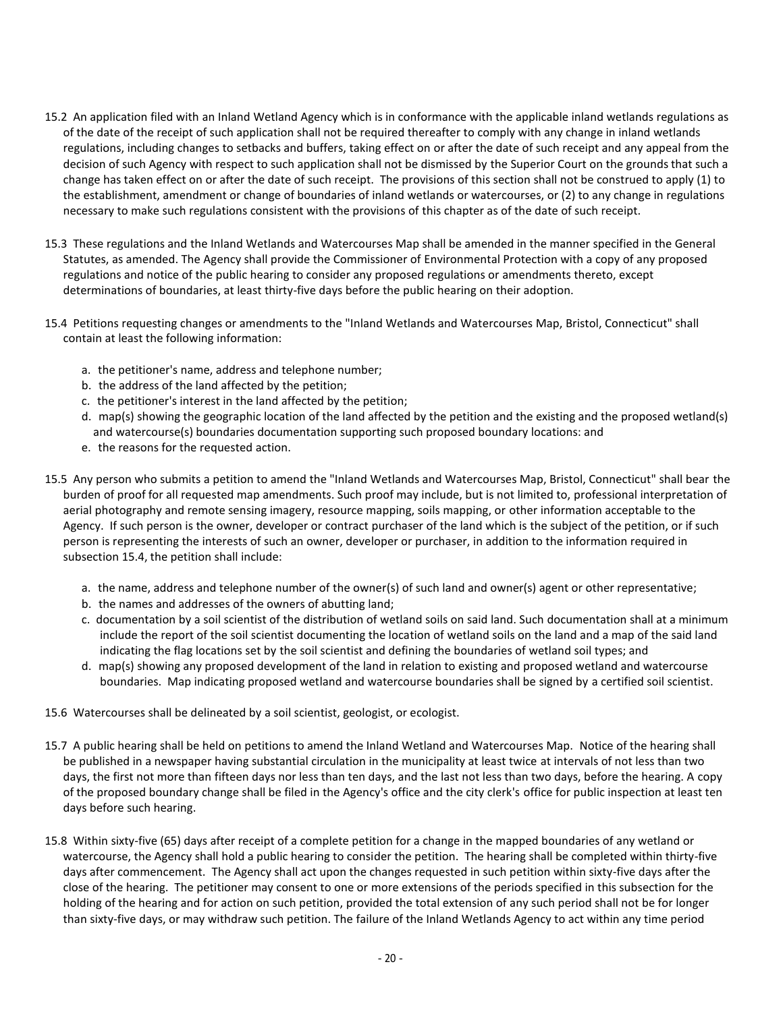- 15.2 An application filed with an Inland Wetland Agency which is in conformance with the applicable inland wetlands regulations as of the date of the receipt of such application shall not be required thereafter to comply with any change in inland wetlands regulations, including changes to setbacks and buffers, taking effect on or after the date of such receipt and any appeal from the decision of such Agency with respect to such application shall not be dismissed by the Superior Court on the grounds that such a change has taken effect on or after the date of such receipt. The provisions of this section shall not be construed to apply (1) to the establishment, amendment or change of boundaries of inland wetlands or watercourses, or (2) to any change in regulations necessary to make such regulations consistent with the provisions of this chapter as of the date of such receipt.
- 15.3 These regulations and the Inland Wetlands and Watercourses Map shall be amended in the manner specified in the General Statutes, as amended. The Agency shall provide the Commissioner of Environmental Protection with a copy of any proposed regulations and notice of the public hearing to consider any proposed regulations or amendments thereto, except determinations of boundaries, at least thirty-five days before the public hearing on their adoption.
- 15.4 Petitions requesting changes or amendments to the "Inland Wetlands and Watercourses Map, Bristol, Connecticut" shall contain at least the following information:
	- a. the petitioner's name, address and telephone number;
	- b. the address of the land affected by the petition;
	- c. the petitioner's interest in the land affected by the petition;
	- d. map(s) showing the geographic location of the land affected by the petition and the existing and the proposed wetland(s) and watercourse(s) boundaries documentation supporting such proposed boundary locations: and
	- e. the reasons for the requested action.
- 15.5 Any person who submits a petition to amend the "Inland Wetlands and Watercourses Map, Bristol, Connecticut" shall bear the burden of proof for all requested map amendments. Such proof may include, but is not limited to, professional interpretation of aerial photography and remote sensing imagery, resource mapping, soils mapping, or other information acceptable to the Agency. If such person is the owner, developer or contract purchaser of the land which is the subject of the petition, or if such person is representing the interests of such an owner, developer or purchaser, in addition to the information required in subsection 15.4, the petition shall include:
	- a. the name, address and telephone number of the owner(s) of such land and owner(s) agent or other representative;
	- b. the names and addresses of the owners of abutting land;
	- c. documentation by a soil scientist of the distribution of wetland soils on said land. Such documentation shall at a minimum include the report of the soil scientist documenting the location of wetland soils on the land and a map of the said land indicating the flag locations set by the soil scientist and defining the boundaries of wetland soil types; and
	- d. map(s) showing any proposed development of the land in relation to existing and proposed wetland and watercourse boundaries. Map indicating proposed wetland and watercourse boundaries shall be signed by a certified soil scientist.
- 15.6 Watercourses shall be delineated by a soil scientist, geologist, or ecologist.
- 15.7 A public hearing shall be held on petitions to amend the Inland Wetland and Watercourses Map. Notice of the hearing shall be published in a newspaper having substantial circulation in the municipality at least twice at intervals of not less than two days, the first not more than fifteen days nor less than ten days, and the last not less than two days, before the hearing. A copy of the proposed boundary change shall be filed in the Agency's office and the city clerk's office for public inspection at least ten days before such hearing.
- 15.8 Within sixty-five (65) days after receipt of a complete petition for a change in the mapped boundaries of any wetland or watercourse, the Agency shall hold a public hearing to consider the petition. The hearing shall be completed within thirty-five days after commencement. The Agency shall act upon the changes requested in such petition within sixty-five days after the close of the hearing. The petitioner may consent to one or more extensions of the periods specified in this subsection for the holding of the hearing and for action on such petition, provided the total extension of any such period shall not be for longer than sixty-five days, or may withdraw such petition. The failure of the Inland Wetlands Agency to act within any time period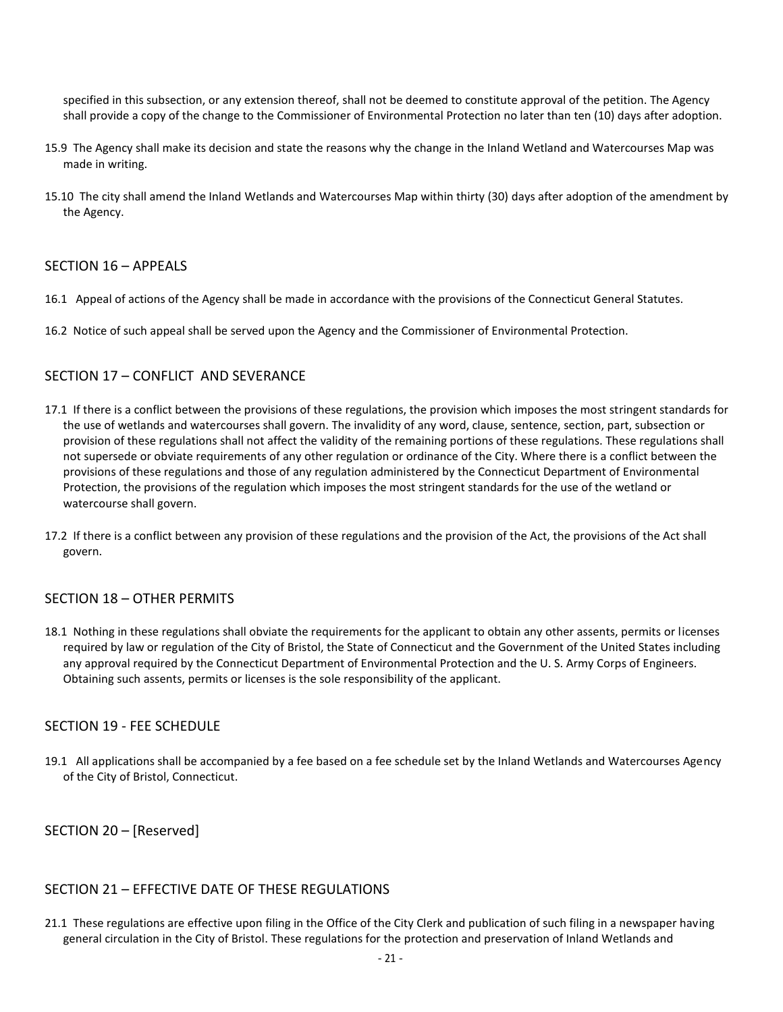specified in this subsection, or any extension thereof, shall not be deemed to constitute approval of the petition. The Agency shall provide a copy of the change to the Commissioner of Environmental Protection no later than ten (10) days after adoption.

- 15.9 The Agency shall make its decision and state the reasons why the change in the Inland Wetland and Watercourses Map was made in writing.
- 15.10 The city shall amend the Inland Wetlands and Watercourses Map within thirty (30) days after adoption of the amendment by the Agency.

#### SECTION 16 – APPEALS

- 16.1 Appeal of actions of the Agency shall be made in accordance with the provisions of the Connecticut General Statutes.
- 16.2 Notice of such appeal shall be served upon the Agency and the Commissioner of Environmental Protection.

## SECTION 17 – CONFLICT AND SEVERANCE

- 17.1 If there is a conflict between the provisions of these regulations, the provision which imposes the most stringent standards for the use of wetlands and watercourses shall govern. The invalidity of any word, clause, sentence, section, part, subsection or provision of these regulations shall not affect the validity of the remaining portions of these regulations. These regulations shall not supersede or obviate requirements of any other regulation or ordinance of the City. Where there is a conflict between the provisions of these regulations and those of any regulation administered by the Connecticut Department of Environmental Protection, the provisions of the regulation which imposes the most stringent standards for the use of the wetland or watercourse shall govern.
- 17.2 If there is a conflict between any provision of these regulations and the provision of the Act, the provisions of the Act shall govern.

#### SECTION 18 – OTHER PERMITS

18.1 Nothing in these regulations shall obviate the requirements for the applicant to obtain any other assents, permits or licenses required by law or regulation of the City of Bristol, the State of Connecticut and the Government of the United States including any approval required by the Connecticut Department of Environmental Protection and the U. S. Army Corps of Engineers. Obtaining such assents, permits or licenses is the sole responsibility of the applicant.

#### SECTION 19 - FEE SCHEDULE

19.1 All applications shall be accompanied by a fee based on a fee schedule set by the Inland Wetlands and Watercourses Agency of the City of Bristol, Connecticut.

SECTION 20 – [Reserved]

#### SECTION 21 – EFFECTIVE DATE OF THESE REGULATIONS

21.1 These regulations are effective upon filing in the Office of the City Clerk and publication of such filing in a newspaper having general circulation in the City of Bristol. These regulations for the protection and preservation of Inland Wetlands and